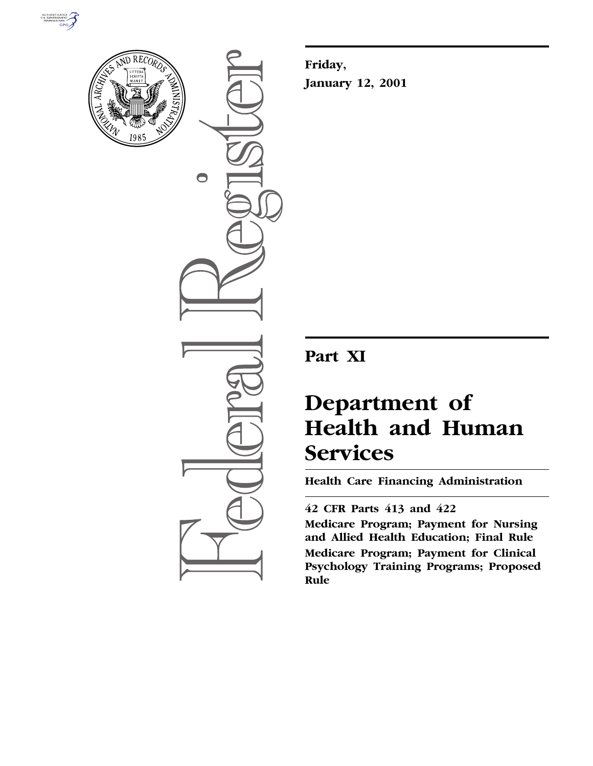



 $\bullet$ 

**Friday, January 12, 2001**

## **Part XI**

# **Department of Health and Human Services**

**Health Care Financing Administration**

### **42 CFR Parts 413 and 422**

**Medicare Program; Payment for Nursing and Allied Health Education; Final Rule Medicare Program; Payment for Clinical Psychology Training Programs; Proposed Rule**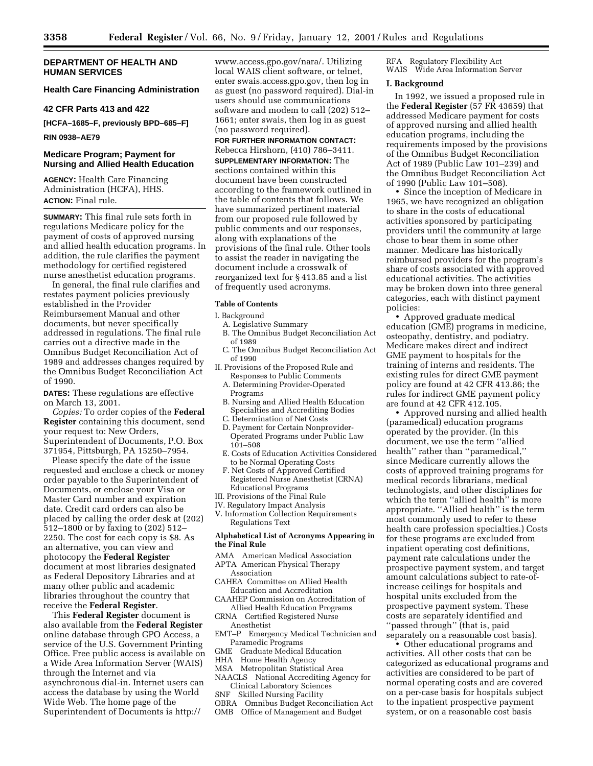#### **DEPARTMENT OF HEALTH AND HUMAN SERVICES**

#### **Health Care Financing Administration**

#### **42 CFR Parts 413 and 422**

**[HCFA–1685–F, previously BPD–685–F]**

#### **RIN 0938–AE79**

#### **Medicare Program; Payment for Nursing and Allied Health Education**

**AGENCY:** Health Care Financing Administration (HCFA), HHS. **ACTION:** Final rule.

**SUMMARY:** This final rule sets forth in regulations Medicare policy for the payment of costs of approved nursing and allied health education programs. In addition, the rule clarifies the payment methodology for certified registered nurse anesthetist education programs.

In general, the final rule clarifies and restates payment policies previously established in the Provider Reimbursement Manual and other documents, but never specifically addressed in regulations. The final rule carries out a directive made in the Omnibus Budget Reconciliation Act of 1989 and addresses changes required by the Omnibus Budget Reconciliation Act of 1990.

**DATES:** These regulations are effective on March 13, 2001.

*Copies:* To order copies of the **Federal Register** containing this document, send your request to: New Orders, Superintendent of Documents, P.O. Box 371954, Pittsburgh, PA 15250–7954.

Please specify the date of the issue requested and enclose a check or money order payable to the Superintendent of Documents, or enclose your Visa or Master Card number and expiration date. Credit card orders can also be placed by calling the order desk at (202) 512–1800 or by faxing to (202) 512– 2250. The cost for each copy is \$8. As an alternative, you can view and photocopy the **Federal Register** document at most libraries designated as Federal Depository Libraries and at many other public and academic libraries throughout the country that receive the **Federal Register**.

This **Federal Register** document is also available from the **Federal Register** online database through GPO Access, a service of the U.S. Government Printing Office. Free public access is available on a Wide Area Information Server (WAIS) through the Internet and via asynchronous dial-in. Internet users can access the database by using the World Wide Web. The home page of the Superintendent of Documents is http://

www.access.gpo.gov/nara/. Utilizing local WAIS client software, or telnet, enter swais.access.gpo.gov, then log in as guest (no password required). Dial-in users should use communications software and modem to call (202) 512– 1661; enter swais, then log in as guest (no password required).

**FOR FURTHER INFORMATION CONTACT:** Rebecca Hirshorn, (410) 786–3411. **SUPPLEMENTARY INFORMATION:** The sections contained within this document have been constructed according to the framework outlined in the table of contents that follows. We have summarized pertinent material from our proposed rule followed by public comments and our responses, along with explanations of the provisions of the final rule. Other tools to assist the reader in navigating the document include a crosswalk of reorganized text for § 413.85 and a list of frequently used acronyms.

#### **Table of Contents**

I. Background

- A. Legislative Summary
- B. The Omnibus Budget Reconciliation Act of 1989
- C. The Omnibus Budget Reconciliation Act of 1990
- II. Provisions of the Proposed Rule and Responses to Public Comments
	- A. Determining Provider-Operated Programs
	- B. Nursing and Allied Health Education Specialties and Accrediting Bodies
	- C. Determination of Net Costs
	- D. Payment for Certain Nonprovider-Operated Programs under Public Law 101–508
	- E. Costs of Education Activities Considered to be Normal Operating Costs
- F. Net Costs of Approved Certified Registered Nurse Anesthetist (CRNA) Educational Programs
- III. Provisions of the Final Rule
- IV. Regulatory Impact Analysis
- V. Information Collection Requirements Regulations Text

#### **Alphabetical List of Acronyms Appearing in the Final Rule**

- AMA American Medical Association
- APTA American Physical Therapy Association
- CAHEA Committee on Allied Health Education and Accreditation
- CAAHEP Commission on Accreditation of Allied Health Education Programs
- CRNA Certified Registered Nurse Anesthetist
- EMT–P Emergency Medical Technician and Paramedic Programs
- 
- GME Graduate Medical Education<br>HHA Home Health Agency
- HHA Home Health Agency<br>MSA Metropolitan Statistic Metropolitan Statistical Area
- NAACLS National Accrediting Agency for Clinical Laboratory Sciences
- SNF Skilled Nursing Facility
- OBRA Omnibus Budget Reconciliation Act
- OMB Office of Management and Budget

RFA Regulatory Flexibility Act WAIS Wide Area Information Server

#### **I. Background**

In 1992, we issued a proposed rule in the **Federal Register** (57 FR 43659) that addressed Medicare payment for costs of approved nursing and allied health education programs, including the requirements imposed by the provisions of the Omnibus Budget Reconciliation Act of 1989 (Public Law 101–239) and the Omnibus Budget Reconciliation Act of 1990 (Public Law 101–508).

• Since the inception of Medicare in 1965, we have recognized an obligation to share in the costs of educational activities sponsored by participating providers until the community at large chose to bear them in some other manner. Medicare has historically reimbursed providers for the program's share of costs associated with approved educational activities. The activities may be broken down into three general categories, each with distinct payment policies:

• Approved graduate medical education (GME) programs in medicine, osteopathy, dentistry, and podiatry. Medicare makes direct and indirect GME payment to hospitals for the training of interns and residents. The existing rules for direct GME payment policy are found at 42 CFR 413.86; the rules for indirect GME payment policy are found at 42 CFR 412.105.

• Approved nursing and allied health (paramedical) education programs operated by the provider. (In this document, we use the term ''allied health'' rather than ''paramedical,'' since Medicare currently allows the costs of approved training programs for medical records librarians, medical technologists, and other disciplines for which the term "allied health" is more appropriate. ''Allied health'' is the term most commonly used to refer to these health care profession specialties.) Costs for these programs are excluded from inpatient operating cost definitions, payment rate calculations under the prospective payment system, and target amount calculations subject to rate-ofincrease ceilings for hospitals and hospital units excluded from the prospective payment system. These costs are separately identified and ''passed through'' (that is, paid separately on a reasonable cost basis).

• Other educational programs and activities. All other costs that can be categorized as educational programs and activities are considered to be part of normal operating costs and are covered on a per-case basis for hospitals subject to the inpatient prospective payment system, or on a reasonable cost basis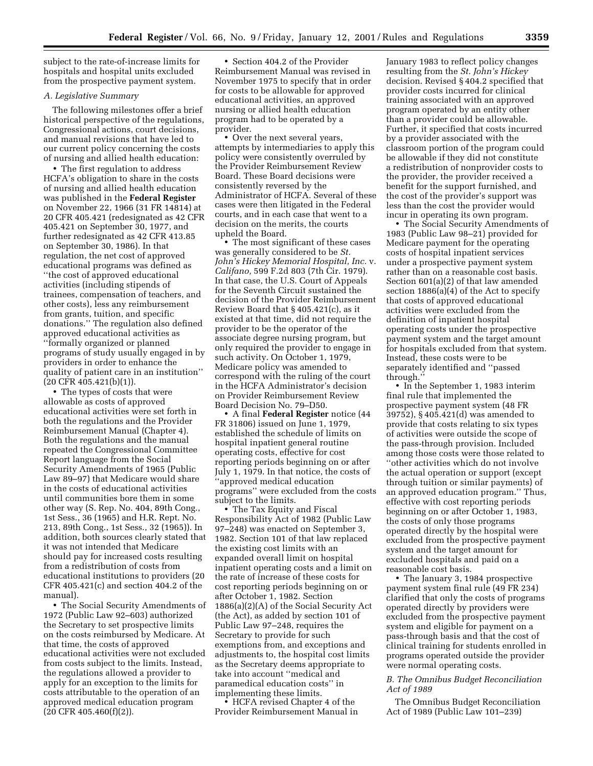subject to the rate-of-increase limits for hospitals and hospital units excluded from the prospective payment system.

#### *A. Legislative Summary*

The following milestones offer a brief historical perspective of the regulations, Congressional actions, court decisions, and manual revisions that have led to our current policy concerning the costs of nursing and allied health education:

• The first regulation to address HCFA's obligation to share in the costs of nursing and allied health education was published in the **Federal Register** on November 22, 1966 (31 FR 14814) at 20 CFR 405.421 (redesignated as 42 CFR 405.421 on September 30, 1977, and further redesignated as 42 CFR 413.85 on September 30, 1986). In that regulation, the net cost of approved educational programs was defined as ''the cost of approved educational activities (including stipends of trainees, compensation of teachers, and other costs), less any reimbursement from grants, tuition, and specific donations.'' The regulation also defined approved educational activities as ''formally organized or planned programs of study usually engaged in by providers in order to enhance the quality of patient care in an institution'' (20 CFR 405.421(b)(1)).

• The types of costs that were allowable as costs of approved educational activities were set forth in both the regulations and the Provider Reimbursement Manual (Chapter 4). Both the regulations and the manual repeated the Congressional Committee Report language from the Social Security Amendments of 1965 (Public Law 89–97) that Medicare would share in the costs of educational activities until communities bore them in some other way (S. Rep. No. 404, 89th Cong., 1st Sess., 36 (1965) and H.R. Rept. No. 213, 89th Cong., 1st Sess., 32 (1965)). In addition, both sources clearly stated that it was not intended that Medicare should pay for increased costs resulting from a redistribution of costs from educational institutions to providers (20 CFR 405.421(c) and section 404.2 of the manual).

• The Social Security Amendments of 1972 (Public Law 92–603) authorized the Secretary to set prospective limits on the costs reimbursed by Medicare. At that time, the costs of approved educational activities were not excluded from costs subject to the limits. Instead, the regulations allowed a provider to apply for an exception to the limits for costs attributable to the operation of an approved medical education program (20 CFR 405.460(f)(2)).

• Section 404.2 of the Provider Reimbursement Manual was revised in November 1975 to specify that in order for costs to be allowable for approved educational activities, an approved nursing or allied health education program had to be operated by a provider.

• Over the next several years, attempts by intermediaries to apply this policy were consistently overruled by the Provider Reimbursement Review Board. These Board decisions were consistently reversed by the Administrator of HCFA. Several of these cases were then litigated in the Federal courts, and in each case that went to a decision on the merits, the courts upheld the Board.

• The most significant of these cases was generally considered to be *St. John's Hickey Memorial Hospital, Inc.* v. *Califano,* 599 F.2d 803 (7th Cir. 1979). In that case, the U.S. Court of Appeals for the Seventh Circuit sustained the decision of the Provider Reimbursement Review Board that § 405.421(c), as it existed at that time, did not require the provider to be the operator of the associate degree nursing program, but only required the provider to engage in such activity. On October 1, 1979, Medicare policy was amended to correspond with the ruling of the court in the HCFA Administrator's decision on Provider Reimbursement Review Board Decision No. 79–D50.

• A final **Federal Register** notice (44 FR 31806) issued on June 1, 1979, established the schedule of limits on hospital inpatient general routine operating costs, effective for cost reporting periods beginning on or after July 1, 1979. In that notice, the costs of ''approved medical education programs'' were excluded from the costs subject to the limits.

• The Tax Equity and Fiscal Responsibility Act of 1982 (Public Law 97–248) was enacted on September 3, 1982. Section 101 of that law replaced the existing cost limits with an expanded overall limit on hospital inpatient operating costs and a limit on the rate of increase of these costs for cost reporting periods beginning on or after October 1, 1982. Section 1886(a)(2)(A) of the Social Security Act (the Act), as added by section 101 of Public Law 97–248, requires the Secretary to provide for such exemptions from, and exceptions and adjustments to, the hospital cost limits as the Secretary deems appropriate to take into account ''medical and paramedical education costs'' in implementing these limits.

• HCFA revised Chapter 4 of the Provider Reimbursement Manual in January 1983 to reflect policy changes resulting from the *St. John's Hickey* decision. Revised § 404.2 specified that provider costs incurred for clinical training associated with an approved program operated by an entity other than a provider could be allowable. Further, it specified that costs incurred by a provider associated with the classroom portion of the program could be allowable if they did not constitute a redistribution of nonprovider costs to the provider, the provider received a benefit for the support furnished, and the cost of the provider's support was less than the cost the provider would incur in operating its own program.

• The Social Security Amendments of 1983 (Public Law 98–21) provided for Medicare payment for the operating costs of hospital inpatient services under a prospective payment system rather than on a reasonable cost basis. Section 601(a)(2) of that law amended section  $1886(a)(4)$  of the Act to specify that costs of approved educational activities were excluded from the definition of inpatient hospital operating costs under the prospective payment system and the target amount for hospitals excluded from that system. Instead, these costs were to be separately identified and ''passed through.''

• In the September 1, 1983 interim final rule that implemented the prospective payment system (48 FR 39752), § 405.421(d) was amended to provide that costs relating to six types of activities were outside the scope of the pass-through provision. Included among those costs were those related to ''other activities which do not involve the actual operation or support (except through tuition or similar payments) of an approved education program.'' Thus, effective with cost reporting periods beginning on or after October 1, 1983, the costs of only those programs operated directly by the hospital were excluded from the prospective payment system and the target amount for excluded hospitals and paid on a reasonable cost basis.

• The January 3, 1984 prospective payment system final rule (49 FR 234) clarified that only the costs of programs operated directly by providers were excluded from the prospective payment system and eligible for payment on a pass-through basis and that the cost of clinical training for students enrolled in programs operated outside the provider were normal operating costs.

#### *B. The Omnibus Budget Reconciliation Act of 1989*

The Omnibus Budget Reconciliation Act of 1989 (Public Law 101–239)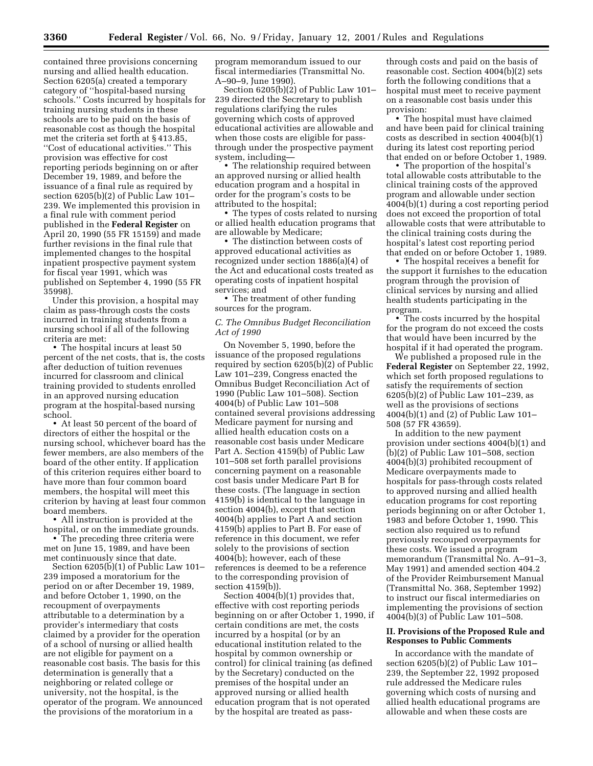contained three provisions concerning nursing and allied health education. Section 6205(a) created a temporary category of ''hospital-based nursing schools.'' Costs incurred by hospitals for training nursing students in these schools are to be paid on the basis of reasonable cost as though the hospital met the criteria set forth at § 413.85, ''Cost of educational activities.'' This provision was effective for cost reporting periods beginning on or after December 19, 1989, and before the issuance of a final rule as required by section 6205(b)(2) of Public Law 101– 239. We implemented this provision in a final rule with comment period published in the **Federal Register** on April 20, 1990 (55 FR 15159) and made further revisions in the final rule that implemented changes to the hospital inpatient prospective payment system for fiscal year 1991, which was published on September 4, 1990 (55 FR 35998).

Under this provision, a hospital may claim as pass-through costs the costs incurred in training students from a nursing school if all of the following criteria are met:

• The hospital incurs at least 50 percent of the net costs, that is, the costs after deduction of tuition revenues incurred for classroom and clinical training provided to students enrolled in an approved nursing education program at the hospital-based nursing school.

• At least 50 percent of the board of directors of either the hospital or the nursing school, whichever board has the fewer members, are also members of the board of the other entity. If application of this criterion requires either board to have more than four common board members, the hospital will meet this criterion by having at least four common board members.

• All instruction is provided at the hospital, or on the immediate grounds.

• The preceding three criteria were met on June 15, 1989, and have been met continuously since that date.

Section 6205(b)(1) of Public Law 101– 239 imposed a moratorium for the period on or after December 19, 1989, and before October 1, 1990, on the recoupment of overpayments attributable to a determination by a provider's intermediary that costs claimed by a provider for the operation of a school of nursing or allied health are not eligible for payment on a reasonable cost basis. The basis for this determination is generally that a neighboring or related college or university, not the hospital, is the operator of the program. We announced the provisions of the moratorium in a

program memorandum issued to our fiscal intermediaries (Transmittal No. A–90–9, June 1990).

Section 6205(b)(2) of Public Law 101– 239 directed the Secretary to publish regulations clarifying the rules governing which costs of approved educational activities are allowable and when those costs are eligible for passthrough under the prospective payment system, including—

• The relationship required between an approved nursing or allied health education program and a hospital in order for the program's costs to be attributed to the hospital;

• The types of costs related to nursing or allied health education programs that are allowable by Medicare;

• The distinction between costs of approved educational activities as recognized under section 1886(a)(4) of the Act and educational costs treated as operating costs of inpatient hospital services; and

• The treatment of other funding sources for the program.

#### *C. The Omnibus Budget Reconciliation Act of 1990*

On November 5, 1990, before the issuance of the proposed regulations required by section 6205(b)(2) of Public Law 101–239, Congress enacted the Omnibus Budget Reconciliation Act of 1990 (Public Law 101–508). Section 4004(b) of Public Law 101–508 contained several provisions addressing Medicare payment for nursing and allied health education costs on a reasonable cost basis under Medicare Part A. Section 4159(b) of Public Law 101–508 set forth parallel provisions concerning payment on a reasonable cost basis under Medicare Part B for these costs. (The language in section 4159(b) is identical to the language in section 4004(b), except that section 4004(b) applies to Part A and section 4159(b) applies to Part B. For ease of reference in this document, we refer solely to the provisions of section 4004(b); however, each of these references is deemed to be a reference to the corresponding provision of section 4159(b)).

Section 4004(b)(1) provides that, effective with cost reporting periods beginning on or after October 1, 1990, if certain conditions are met, the costs incurred by a hospital (or by an educational institution related to the hospital by common ownership or control) for clinical training (as defined by the Secretary) conducted on the premises of the hospital under an approved nursing or allied health education program that is not operated by the hospital are treated as pass-

through costs and paid on the basis of reasonable cost. Section 4004(b)(2) sets forth the following conditions that a hospital must meet to receive payment on a reasonable cost basis under this provision:

• The hospital must have claimed and have been paid for clinical training costs as described in section 4004(b)(1) during its latest cost reporting period that ended on or before October 1, 1989.

• The proportion of the hospital's total allowable costs attributable to the clinical training costs of the approved program and allowable under section 4004(b)(1) during a cost reporting period does not exceed the proportion of total allowable costs that were attributable to the clinical training costs during the hospital's latest cost reporting period that ended on or before October 1, 1989.

• The hospital receives a benefit for the support it furnishes to the education program through the provision of clinical services by nursing and allied health students participating in the program.

• The costs incurred by the hospital for the program do not exceed the costs that would have been incurred by the hospital if it had operated the program.

We published a proposed rule in the **Federal Register** on September 22, 1992, which set forth proposed regulations to satisfy the requirements of section 6205(b)(2) of Public Law 101–239, as well as the provisions of sections 4004(b)(1) and (2) of Public Law 101– 508 (57 FR 43659).

In addition to the new payment provision under sections 4004(b)(1) and (b)(2) of Public Law 101–508, section 4004(b)(3) prohibited recoupment of Medicare overpayments made to hospitals for pass-through costs related to approved nursing and allied health education programs for cost reporting periods beginning on or after October 1, 1983 and before October 1, 1990. This section also required us to refund previously recouped overpayments for these costs. We issued a program memorandum (Transmittal No. A–91–3, May 1991) and amended section 404.2 of the Provider Reimbursement Manual (Transmittal No. 368, September 1992) to instruct our fiscal intermediaries on implementing the provisions of section 4004(b)(3) of Public Law 101–508.

#### **II. Provisions of the Proposed Rule and Responses to Public Comments**

In accordance with the mandate of section 6205(b)(2) of Public Law 101– 239, the September 22, 1992 proposed rule addressed the Medicare rules governing which costs of nursing and allied health educational programs are allowable and when these costs are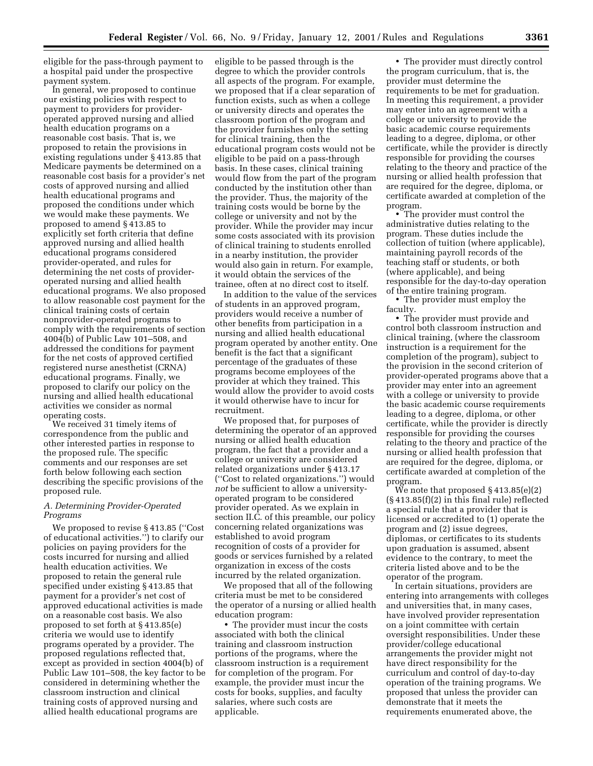eligible for the pass-through payment to a hospital paid under the prospective payment system.

In general, we proposed to continue our existing policies with respect to payment to providers for provideroperated approved nursing and allied health education programs on a reasonable cost basis. That is, we proposed to retain the provisions in existing regulations under § 413.85 that Medicare payments be determined on a reasonable cost basis for a provider's net costs of approved nursing and allied health educational programs and proposed the conditions under which we would make these payments. We proposed to amend § 413.85 to explicitly set forth criteria that define approved nursing and allied health educational programs considered provider-operated, and rules for determining the net costs of provideroperated nursing and allied health educational programs. We also proposed to allow reasonable cost payment for the clinical training costs of certain nonprovider-operated programs to comply with the requirements of section 4004(b) of Public Law 101–508, and addressed the conditions for payment for the net costs of approved certified registered nurse anesthetist (CRNA) educational programs. Finally, we proposed to clarify our policy on the nursing and allied health educational activities we consider as normal operating costs.

We received 31 timely items of correspondence from the public and other interested parties in response to the proposed rule. The specific comments and our responses are set forth below following each section describing the specific provisions of the proposed rule.

#### *A. Determining Provider-Operated Programs*

We proposed to revise § 413.85 (''Cost of educational activities.'') to clarify our policies on paying providers for the costs incurred for nursing and allied health education activities. We proposed to retain the general rule specified under existing § 413.85 that payment for a provider's net cost of approved educational activities is made on a reasonable cost basis. We also proposed to set forth at § 413.85(e) criteria we would use to identify programs operated by a provider. The proposed regulations reflected that, except as provided in section 4004(b) of Public Law 101–508, the key factor to be considered in determining whether the classroom instruction and clinical training costs of approved nursing and allied health educational programs are

eligible to be passed through is the degree to which the provider controls all aspects of the program. For example, we proposed that if a clear separation of function exists, such as when a college or university directs and operates the classroom portion of the program and the provider furnishes only the setting for clinical training, then the educational program costs would not be eligible to be paid on a pass-through basis. In these cases, clinical training would flow from the part of the program conducted by the institution other than the provider. Thus, the majority of the training costs would be borne by the college or university and not by the provider. While the provider may incur some costs associated with its provision of clinical training to students enrolled in a nearby institution, the provider would also gain in return. For example, it would obtain the services of the trainee, often at no direct cost to itself.

In addition to the value of the services of students in an approved program, providers would receive a number of other benefits from participation in a nursing and allied health educational program operated by another entity. One benefit is the fact that a significant percentage of the graduates of these programs become employees of the provider at which they trained. This would allow the provider to avoid costs it would otherwise have to incur for recruitment.

We proposed that, for purposes of determining the operator of an approved nursing or allied health education program, the fact that a provider and a college or university are considered related organizations under § 413.17 (''Cost to related organizations.'') would *not* be sufficient to allow a universityoperated program to be considered provider operated. As we explain in section II.C. of this preamble, our policy concerning related organizations was established to avoid program recognition of costs of a provider for goods or services furnished by a related organization in excess of the costs incurred by the related organization.

We proposed that all of the following criteria must be met to be considered the operator of a nursing or allied health education program:

• The provider must incur the costs associated with both the clinical training and classroom instruction portions of the programs, where the classroom instruction is a requirement for completion of the program. For example, the provider must incur the costs for books, supplies, and faculty salaries, where such costs are applicable.

• The provider must directly control the program curriculum, that is, the provider must determine the requirements to be met for graduation. In meeting this requirement, a provider may enter into an agreement with a college or university to provide the basic academic course requirements leading to a degree, diploma, or other certificate, while the provider is directly responsible for providing the courses relating to the theory and practice of the nursing or allied health profession that are required for the degree, diploma, or certificate awarded at completion of the program.

• The provider must control the administrative duties relating to the program. These duties include the collection of tuition (where applicable), maintaining payroll records of the teaching staff or students, or both (where applicable), and being responsible for the day-to-day operation of the entire training program.

• The provider must employ the faculty.

• The provider must provide and control both classroom instruction and clinical training, (where the classroom instruction is a requirement for the completion of the program), subject to the provision in the second criterion of provider-operated programs above that a provider may enter into an agreement with a college or university to provide the basic academic course requirements leading to a degree, diploma, or other certificate, while the provider is directly responsible for providing the courses relating to the theory and practice of the nursing or allied health profession that are required for the degree, diploma, or certificate awarded at completion of the program.

We note that proposed § 413.85(e)(2) (§ 413.85(f)(2) in this final rule) reflected a special rule that a provider that is licensed or accredited to (1) operate the program and (2) issue degrees, diplomas, or certificates to its students upon graduation is assumed, absent evidence to the contrary, to meet the criteria listed above and to be the operator of the program.

In certain situations, providers are entering into arrangements with colleges and universities that, in many cases, have involved provider representation on a joint committee with certain oversight responsibilities. Under these provider/college educational arrangements the provider might not have direct responsibility for the curriculum and control of day-to-day operation of the training programs. We proposed that unless the provider can demonstrate that it meets the requirements enumerated above, the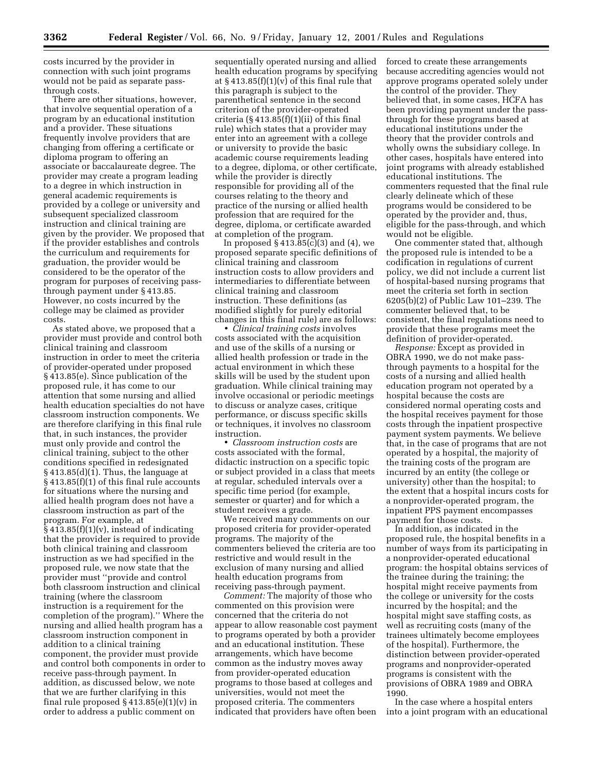costs incurred by the provider in connection with such joint programs would not be paid as separate passthrough costs.

There are other situations, however, that involve sequential operation of a program by an educational institution and a provider. These situations frequently involve providers that are changing from offering a certificate or diploma program to offering an associate or baccalaureate degree. The provider may create a program leading to a degree in which instruction in general academic requirements is provided by a college or university and subsequent specialized classroom instruction and clinical training are given by the provider. We proposed that if the provider establishes and controls the curriculum and requirements for graduation, the provider would be considered to be the operator of the program for purposes of receiving passthrough payment under § 413.85. However, no costs incurred by the college may be claimed as provider costs.

As stated above, we proposed that a provider must provide and control both clinical training and classroom instruction in order to meet the criteria of provider-operated under proposed § 413.85(e). Since publication of the proposed rule, it has come to our attention that some nursing and allied health education specialties do not have classroom instruction components. We are therefore clarifying in this final rule that, in such instances, the provider must only provide and control the clinical training, subject to the other conditions specified in redesignated  $§$  413.85(d)(1). Thus, the language at § 413.85(f)(1) of this final rule accounts for situations where the nursing and allied health program does not have a classroom instruction as part of the program. For example, at  $§$  413.85(f)(1)(v), instead of indicating that the provider is required to provide both clinical training and classroom instruction as we had specified in the proposed rule, we now state that the provider must ''provide and control both classroom instruction and clinical training (where the classroom instruction is a requirement for the completion of the program).'' Where the nursing and allied health program has a classroom instruction component in addition to a clinical training component, the provider must provide and control both components in order to receive pass-through payment. In addition, as discussed below, we note that we are further clarifying in this final rule proposed  $§$  413.85(e)(1)(v) in order to address a public comment on

sequentially operated nursing and allied health education programs by specifying at  $\S 413.85(f)(1)(v)$  of this final rule that this paragraph is subject to the parenthetical sentence in the second criterion of the provider-operated criteria  $(\S 413.85(f)(1)(ii)$  of this final rule) which states that a provider may enter into an agreement with a college or university to provide the basic academic course requirements leading to a degree, diploma, or other certificate, while the provider is directly responsible for providing all of the courses relating to the theory and practice of the nursing or allied health profession that are required for the degree, diploma, or certificate awarded at completion of the program.

In proposed  $\S 413.\overline{85}$ (c)(3) and (4), we proposed separate specific definitions of clinical training and classroom instruction costs to allow providers and intermediaries to differentiate between clinical training and classroom instruction. These definitions (as modified slightly for purely editorial changes in this final rule) are as follows:

• *Clinical training costs* involves costs associated with the acquisition and use of the skills of a nursing or allied health profession or trade in the actual environment in which these skills will be used by the student upon graduation. While clinical training may involve occasional or periodic meetings to discuss or analyze cases, critique performance, or discuss specific skills or techniques, it involves no classroom instruction.

• *Classroom instruction costs* are costs associated with the formal, didactic instruction on a specific topic or subject provided in a class that meets at regular, scheduled intervals over a specific time period (for example, semester or quarter) and for which a student receives a grade.

We received many comments on our proposed criteria for provider-operated programs. The majority of the commenters believed the criteria are too restrictive and would result in the exclusion of many nursing and allied health education programs from receiving pass-through payment.

*Comment:* The majority of those who commented on this provision were concerned that the criteria do not appear to allow reasonable cost payment to programs operated by both a provider and an educational institution. These arrangements, which have become common as the industry moves away from provider-operated education programs to those based at colleges and universities, would not meet the proposed criteria. The commenters indicated that providers have often been

forced to create these arrangements because accrediting agencies would not approve programs operated solely under the control of the provider. They believed that, in some cases, HCFA has been providing payment under the passthrough for these programs based at educational institutions under the theory that the provider controls and wholly owns the subsidiary college. In other cases, hospitals have entered into joint programs with already established educational institutions. The commenters requested that the final rule clearly delineate which of these programs would be considered to be operated by the provider and, thus, eligible for the pass-through, and which would not be eligible.

One commenter stated that, although the proposed rule is intended to be a codification in regulations of current policy, we did not include a current list of hospital-based nursing programs that meet the criteria set forth in section 6205(b)(2) of Public Law 101–239. The commenter believed that, to be consistent, the final regulations need to provide that these programs meet the definition of provider-operated.

*Response:* Except as provided in OBRA 1990, we do not make passthrough payments to a hospital for the costs of a nursing and allied health education program not operated by a hospital because the costs are considered normal operating costs and the hospital receives payment for those costs through the inpatient prospective payment system payments. We believe that, in the case of programs that are not operated by a hospital, the majority of the training costs of the program are incurred by an entity (the college or university) other than the hospital; to the extent that a hospital incurs costs for a nonprovider-operated program, the inpatient PPS payment encompasses payment for those costs.

In addition, as indicated in the proposed rule, the hospital benefits in a number of ways from its participating in a nonprovider-operated educational program: the hospital obtains services of the trainee during the training; the hospital might receive payments from the college or university for the costs incurred by the hospital; and the hospital might save staffing costs, as well as recruiting costs (many of the trainees ultimately become employees of the hospital). Furthermore, the distinction between provider-operated programs and nonprovider-operated programs is consistent with the provisions of OBRA 1989 and OBRA 1990.

In the case where a hospital enters into a joint program with an educational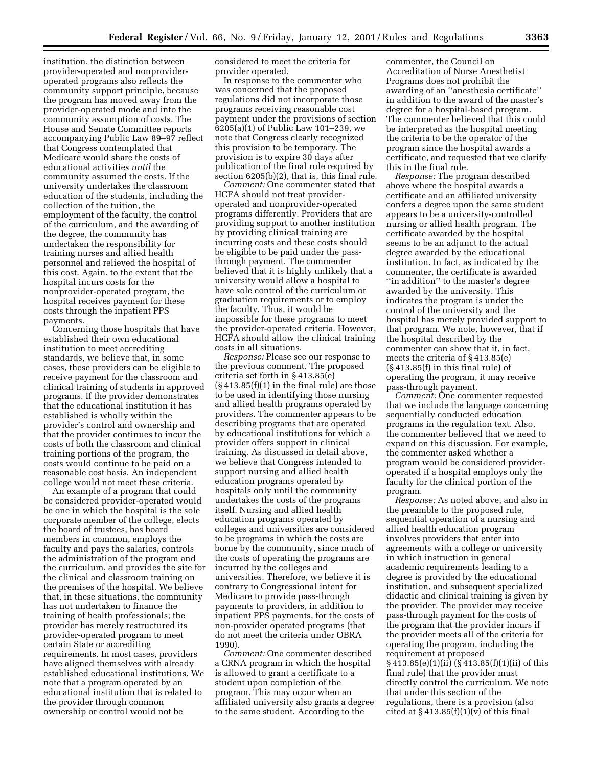institution, the distinction between provider-operated and nonprovideroperated programs also reflects the community support principle, because the program has moved away from the provider-operated mode and into the community assumption of costs. The House and Senate Committee reports accompanying Public Law 89–97 reflect that Congress contemplated that Medicare would share the costs of educational activities *until* the community assumed the costs. If the university undertakes the classroom education of the students, including the collection of the tuition, the employment of the faculty, the control of the curriculum, and the awarding of the degree, the community has undertaken the responsibility for training nurses and allied health personnel and relieved the hospital of this cost. Again, to the extent that the hospital incurs costs for the nonprovider-operated program, the hospital receives payment for these costs through the inpatient PPS payments.

Concerning those hospitals that have established their own educational institution to meet accrediting standards, we believe that, in some cases, these providers can be eligible to receive payment for the classroom and clinical training of students in approved programs. If the provider demonstrates that the educational institution it has established is wholly within the provider's control and ownership and that the provider continues to incur the costs of both the classroom and clinical training portions of the program, the costs would continue to be paid on a reasonable cost basis. An independent college would not meet these criteria.

An example of a program that could be considered provider-operated would be one in which the hospital is the sole corporate member of the college, elects the board of trustees, has board members in common, employs the faculty and pays the salaries, controls the administration of the program and the curriculum, and provides the site for the clinical and classroom training on the premises of the hospital. We believe that, in these situations, the community has not undertaken to finance the training of health professionals; the provider has merely restructured its provider-operated program to meet certain State or accrediting requirements. In most cases, providers have aligned themselves with already established educational institutions. We note that a program operated by an educational institution that is related to the provider through common ownership or control would not be

considered to meet the criteria for provider operated.

In response to the commenter who was concerned that the proposed regulations did not incorporate those programs receiving reasonable cost payment under the provisions of section 6205(a)(1) of Public Law 101–239, we note that Congress clearly recognized this provision to be temporary. The provision is to expire 30 days after publication of the final rule required by section 6205(b)(2), that is, this final rule.

*Comment:* One commenter stated that HCFA should not treat provideroperated and nonprovider-operated programs differently. Providers that are providing support to another institution by providing clinical training are incurring costs and these costs should be eligible to be paid under the passthrough payment. The commenter believed that it is highly unlikely that a university would allow a hospital to have sole control of the curriculum or graduation requirements or to employ the faculty. Thus, it would be impossible for these programs to meet the provider-operated criteria. However, HCFA should allow the clinical training costs in all situations.

*Response:* Please see our response to the previous comment. The proposed criteria set forth in § 413.85(e)  $(\S 413.85(f)(1)$  in the final rule) are those to be used in identifying those nursing and allied health programs operated by providers. The commenter appears to be describing programs that are operated by educational institutions for which a provider offers support in clinical training. As discussed in detail above, we believe that Congress intended to support nursing and allied health education programs operated by hospitals only until the community undertakes the costs of the programs itself. Nursing and allied health education programs operated by colleges and universities are considered to be programs in which the costs are borne by the community, since much of the costs of operating the programs are incurred by the colleges and universities. Therefore, we believe it is contrary to Congressional intent for Medicare to provide pass-through payments to providers, in addition to inpatient PPS payments, for the costs of non-provider operated programs (that do not meet the criteria under OBRA 1990).

*Comment:* One commenter described a CRNA program in which the hospital is allowed to grant a certificate to a student upon completion of the program. This may occur when an affiliated university also grants a degree to the same student. According to the

commenter, the Council on Accreditation of Nurse Anesthetist Programs does not prohibit the awarding of an ''anesthesia certificate'' in addition to the award of the master's degree for a hospital-based program. The commenter believed that this could be interpreted as the hospital meeting the criteria to be the operator of the program since the hospital awards a certificate, and requested that we clarify this in the final rule.

*Response:* The program described above where the hospital awards a certificate and an affiliated university confers a degree upon the same student appears to be a university-controlled nursing or allied health program. The certificate awarded by the hospital seems to be an adjunct to the actual degree awarded by the educational institution. In fact, as indicated by the commenter, the certificate is awarded ''in addition'' to the master's degree awarded by the university. This indicates the program is under the control of the university and the hospital has merely provided support to that program. We note, however, that if the hospital described by the commenter can show that it, in fact, meets the criteria of § 413.85(e) (§ 413.85(f) in this final rule) of operating the program, it may receive pass-through payment.

*Comment:* One commenter requested that we include the language concerning sequentially conducted education programs in the regulation text. Also, the commenter believed that we need to expand on this discussion. For example, the commenter asked whether a program would be considered provideroperated if a hospital employs only the faculty for the clinical portion of the program.

*Response:* As noted above, and also in the preamble to the proposed rule, sequential operation of a nursing and allied health education program involves providers that enter into agreements with a college or university in which instruction in general academic requirements leading to a degree is provided by the educational institution, and subsequent specialized didactic and clinical training is given by the provider. The provider may receive pass-through payment for the costs of the program that the provider incurs if the provider meets all of the criteria for operating the program, including the requirement at proposed § 413.85(e)(1)(ii) (§ 413.85(f)(1)(ii) of this final rule) that the provider must directly control the curriculum. We note that under this section of the regulations, there is a provision (also cited at  $§$  413.85(f)(1)(v) of this final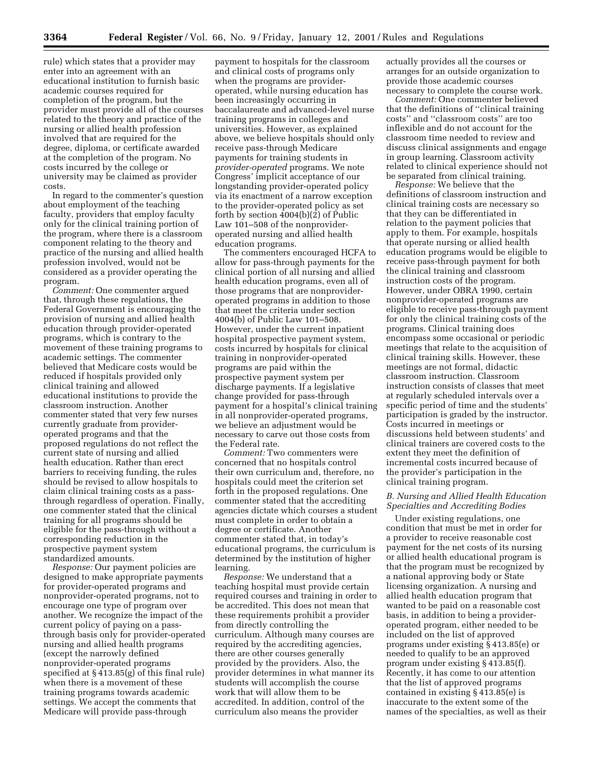rule) which states that a provider may enter into an agreement with an educational institution to furnish basic academic courses required for completion of the program, but the provider must provide all of the courses related to the theory and practice of the nursing or allied health profession involved that are required for the degree, diploma, or certificate awarded at the completion of the program. No costs incurred by the college or university may be claimed as provider costs.

In regard to the commenter's question about employment of the teaching faculty, providers that employ faculty only for the clinical training portion of the program, where there is a classroom component relating to the theory and practice of the nursing and allied health profession involved, would not be considered as a provider operating the program.

*Comment:* One commenter argued that, through these regulations, the Federal Government is encouraging the provision of nursing and allied health education through provider-operated programs, which is contrary to the movement of these training programs to academic settings. The commenter believed that Medicare costs would be reduced if hospitals provided only clinical training and allowed educational institutions to provide the classroom instruction. Another commenter stated that very few nurses currently graduate from provideroperated programs and that the proposed regulations do not reflect the current state of nursing and allied health education. Rather than erect barriers to receiving funding, the rules should be revised to allow hospitals to claim clinical training costs as a passthrough regardless of operation. Finally, one commenter stated that the clinical training for all programs should be eligible for the pass-through without a corresponding reduction in the prospective payment system standardized amounts.

*Response:* Our payment policies are designed to make appropriate payments for provider-operated programs and nonprovider-operated programs, not to encourage one type of program over another. We recognize the impact of the current policy of paying on a passthrough basis only for provider-operated nursing and allied health programs (except the narrowly defined nonprovider-operated programs specified at § 413.85(g) of this final rule) when there is a movement of these training programs towards academic settings. We accept the comments that Medicare will provide pass-through

payment to hospitals for the classroom and clinical costs of programs only when the programs are provideroperated, while nursing education has been increasingly occurring in baccalaureate and advanced-level nurse training programs in colleges and universities. However, as explained above, we believe hospitals should only receive pass-through Medicare payments for training students in *provider-operated* programs. We note Congress' implicit acceptance of our longstanding provider-operated policy via its enactment of a narrow exception to the provider-operated policy as set forth by section 4004(b)(2) of Public Law 101–508 of the nonprovideroperated nursing and allied health education programs.

The commenters encouraged HCFA to allow for pass-through payments for the clinical portion of all nursing and allied health education programs, even all of those programs that are nonprovideroperated programs in addition to those that meet the criteria under section 4004(b) of Public Law 101–508. However, under the current inpatient hospital prospective payment system, costs incurred by hospitals for clinical training in nonprovider-operated programs are paid within the prospective payment system per discharge payments. If a legislative change provided for pass-through payment for a hospital's clinical training in all nonprovider-operated programs, we believe an adjustment would be necessary to carve out those costs from the Federal rate.

*Comment:* Two commenters were concerned that no hospitals control their own curriculum and, therefore, no hospitals could meet the criterion set forth in the proposed regulations. One commenter stated that the accrediting agencies dictate which courses a student must complete in order to obtain a degree or certificate. Another commenter stated that, in today's educational programs, the curriculum is determined by the institution of higher learning.

*Response:* We understand that a teaching hospital must provide certain required courses and training in order to be accredited. This does not mean that these requirements prohibit a provider from directly controlling the curriculum. Although many courses are required by the accrediting agencies, there are other courses generally provided by the providers. Also, the provider determines in what manner its students will accomplish the course work that will allow them to be accredited. In addition, control of the curriculum also means the provider

actually provides all the courses or arranges for an outside organization to provide those academic courses necessary to complete the course work.

*Comment:* One commenter believed that the definitions of ''clinical training costs'' and ''classroom costs'' are too inflexible and do not account for the classroom time needed to review and discuss clinical assignments and engage in group learning. Classroom activity related to clinical experience should not be separated from clinical training.

*Response:* We believe that the definitions of classroom instruction and clinical training costs are necessary so that they can be differentiated in relation to the payment policies that apply to them. For example, hospitals that operate nursing or allied health education programs would be eligible to receive pass-through payment for both the clinical training and classroom instruction costs of the program. However, under OBRA 1990, certain nonprovider-operated programs are eligible to receive pass-through payment for only the clinical training costs of the programs. Clinical training does encompass some occasional or periodic meetings that relate to the acquisition of clinical training skills. However, these meetings are not formal, didactic classroom instruction. Classroom instruction consists of classes that meet at regularly scheduled intervals over a specific period of time and the students' participation is graded by the instructor. Costs incurred in meetings or discussions held between students' and clinical trainers are covered costs to the extent they meet the definition of incremental costs incurred because of the provider's participation in the clinical training program.

#### *B. Nursing and Allied Health Education Specialties and Accrediting Bodies*

Under existing regulations, one condition that must be met in order for a provider to receive reasonable cost payment for the net costs of its nursing or allied health educational program is that the program must be recognized by a national approving body or State licensing organization. A nursing and allied health education program that wanted to be paid on a reasonable cost basis, in addition to being a provideroperated program, either needed to be included on the list of approved programs under existing § 413.85(e) or needed to qualify to be an approved program under existing § 413.85(f). Recently, it has come to our attention that the list of approved programs contained in existing § 413.85(e) is inaccurate to the extent some of the names of the specialties, as well as their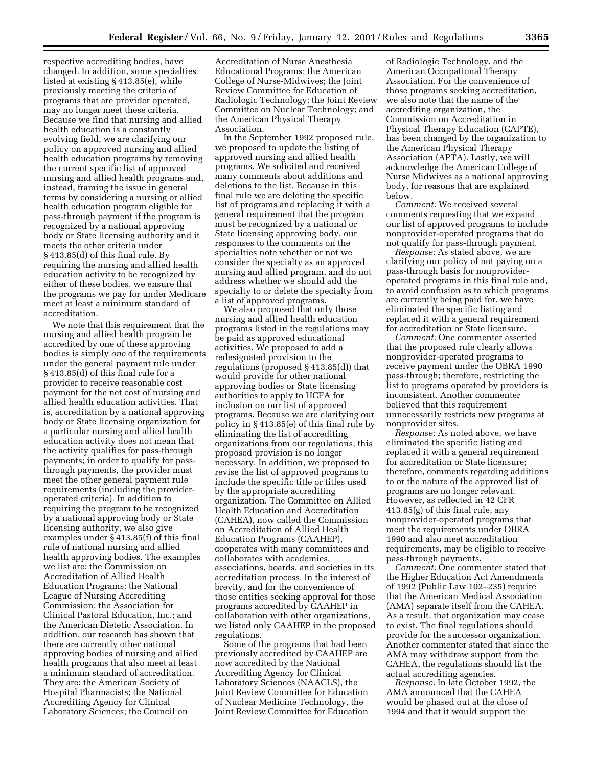respective accrediting bodies, have changed. In addition, some specialties listed at existing § 413.85(e), while previously meeting the criteria of programs that are provider operated, may no longer meet these criteria. Because we find that nursing and allied health education is a constantly evolving field, we are clarifying our policy on approved nursing and allied health education programs by removing the current specific list of approved nursing and allied health programs and, instead, framing the issue in general terms by considering a nursing or allied health education program eligible for pass-through payment if the program is recognized by a national approving body or State licensing authority and it meets the other criteria under § 413.85(d) of this final rule. By requiring the nursing and allied health education activity to be recognized by either of these bodies, we ensure that the programs we pay for under Medicare meet at least a minimum standard of accreditation.

We note that this requirement that the nursing and allied health program be accredited by one of these approving bodies is simply *one* of the requirements under the general payment rule under § 413.85(d) of this final rule for a provider to receive reasonable cost payment for the net cost of nursing and allied health education activities. That is, accreditation by a national approving body or State licensing organization for a particular nursing and allied health education activity does not mean that the activity qualifies for pass-through payments; in order to qualify for passthrough payments, the provider must meet the other general payment rule requirements (including the provideroperated criteria). In addition to requiring the program to be recognized by a national approving body or State licensing authority, we also give examples under § 413.85(f) of this final rule of national nursing and allied health approving bodies. The examples we list are: the Commission on Accreditation of Allied Health Education Programs; the National League of Nursing Accrediting Commission; the Association for Clinical Pastoral Education, Inc.; and the American Dietetic Association. In addition, our research has shown that there are currently other national approving bodies of nursing and allied health programs that also meet at least a minimum standard of accreditation. They are: the American Society of Hospital Pharmacists; the National Accrediting Agency for Clinical Laboratory Sciences; the Council on

Accreditation of Nurse Anesthesia Educational Programs; the American College of Nurse-Midwives; the Joint Review Committee for Education of Radiologic Technology; the Joint Review Committee on Nuclear Technology; and the American Physical Therapy Association.

In the September 1992 proposed rule, we proposed to update the listing of approved nursing and allied health programs. We solicited and received many comments about additions and deletions to the list. Because in this final rule we are deleting the specific list of programs and replacing it with a general requirement that the program must be recognized by a national or State licensing approving body, our responses to the comments on the specialties note whether or not we consider the specialty as an approved nursing and allied program, and do not address whether we should add the specialty to or delete the specialty from a list of approved programs.

We also proposed that only those nursing and allied health education programs listed in the regulations may be paid as approved educational activities. We proposed to add a redesignated provision to the regulations (proposed § 413.85(d)) that would provide for other national approving bodies or State licensing authorities to apply to HCFA for inclusion on our list of approved programs. Because we are clarifying our policy in § 413.85(e) of this final rule by eliminating the list of accrediting organizations from our regulations, this proposed provision is no longer necessary. In addition, we proposed to revise the list of approved programs to include the specific title or titles used by the appropriate accrediting organization. The Committee on Allied Health Education and Accreditation (CAHEA), now called the Commission on Accreditation of Allied Health Education Programs (CAAHEP), cooperates with many committees and collaborates with academies, associations, boards, and societies in its accreditation process. In the interest of brevity, and for the convenience of those entities seeking approval for those programs accredited by CAAHEP in collaboration with other organizations, we listed only CAAHEP in the proposed regulations.

Some of the programs that had been previously accredited by CAAHEP are now accredited by the National Accrediting Agency for Clinical Laboratory Sciences (NAACLS), the Joint Review Committee for Education of Nuclear Medicine Technology, the Joint Review Committee for Education

of Radiologic Technology, and the American Occupational Therapy Association. For the convenience of those programs seeking accreditation, we also note that the name of the accrediting organization, the Commission on Accreditation in Physical Therapy Education (CAPTE), has been changed by the organization to the American Physical Therapy Association (APTA). Lastly, we will acknowledge the American College of Nurse Midwives as a national approving body, for reasons that are explained below.

*Comment:* We received several comments requesting that we expand our list of approved programs to include nonprovider-operated programs that do not qualify for pass-through payment.

*Response:* As stated above, we are clarifying our policy of not paying on a pass-through basis for nonprovideroperated programs in this final rule and, to avoid confusion as to which programs are currently being paid for, we have eliminated the specific listing and replaced it with a general requirement for accreditation or State licensure.

*Comment:* One commenter asserted that the proposed rule clearly allows nonprovider-operated programs to receive payment under the OBRA 1990 pass-through; therefore, restricting the list to programs operated by providers is inconsistent. Another commenter believed that this requirement unnecessarily restricts new programs at nonprovider sites.

*Response:* As noted above, we have eliminated the specific listing and replaced it with a general requirement for accreditation or State licensure; therefore, comments regarding additions to or the nature of the approved list of programs are no longer relevant. However, as reflected in 42 CFR 413.85(g) of this final rule, any nonprovider-operated programs that meet the requirements under OBRA 1990 and also meet accreditation requirements, may be eligible to receive pass-through payments.

*Comment:* One commenter stated that the Higher Education Act Amendments of 1992 (Public Law 102–235) require that the American Medical Association (AMA) separate itself from the CAHEA. As a result, that organization may cease to exist. The final regulations should provide for the successor organization. Another commenter stated that since the AMA may withdraw support from the CAHEA, the regulations should list the actual accrediting agencies.

*Response:* In late October 1992, the AMA announced that the CAHEA would be phased out at the close of 1994 and that it would support the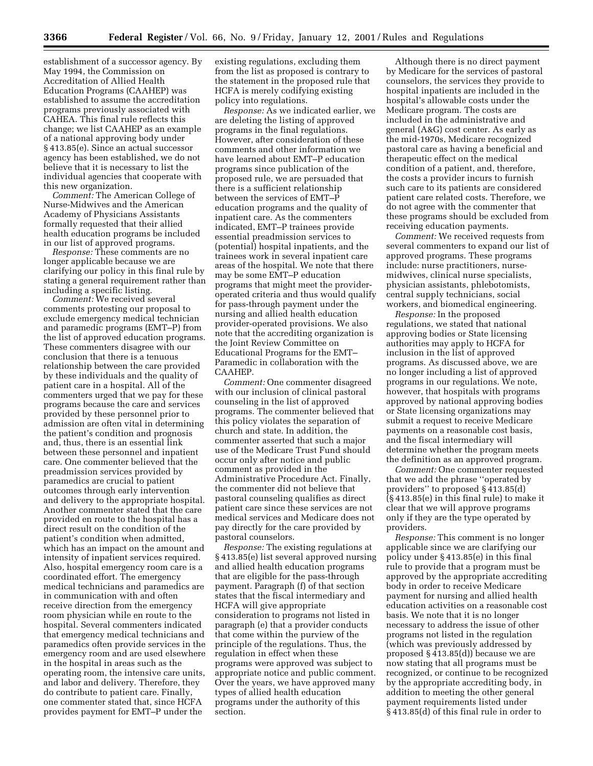establishment of a successor agency. By May 1994, the Commission on Accreditation of Allied Health Education Programs (CAAHEP) was established to assume the accreditation programs previously associated with CAHEA. This final rule reflects this change; we list CAAHEP as an example of a national approving body under § 413.85(e). Since an actual successor agency has been established, we do not believe that it is necessary to list the individual agencies that cooperate with this new organization.

*Comment:* The American College of Nurse-Midwives and the American Academy of Physicians Assistants formally requested that their allied health education programs be included in our list of approved programs.

*Response:* These comments are no longer applicable because we are clarifying our policy in this final rule by stating a general requirement rather than including a specific listing.

*Comment:* We received several comments protesting our proposal to exclude emergency medical technician and paramedic programs (EMT–P) from the list of approved education programs. These commenters disagree with our conclusion that there is a tenuous relationship between the care provided by these individuals and the quality of patient care in a hospital. All of the commenters urged that we pay for these programs because the care and services provided by these personnel prior to admission are often vital in determining the patient's condition and prognosis and, thus, there is an essential link between these personnel and inpatient care. One commenter believed that the preadmission services provided by paramedics are crucial to patient outcomes through early intervention and delivery to the appropriate hospital. Another commenter stated that the care provided en route to the hospital has a direct result on the condition of the patient's condition when admitted, which has an impact on the amount and intensity of inpatient services required. Also, hospital emergency room care is a coordinated effort. The emergency medical technicians and paramedics are in communication with and often receive direction from the emergency room physician while en route to the hospital. Several commenters indicated that emergency medical technicians and paramedics often provide services in the emergency room and are used elsewhere in the hospital in areas such as the operating room, the intensive care units, and labor and delivery. Therefore, they do contribute to patient care. Finally, one commenter stated that, since HCFA provides payment for EMT–P under the

existing regulations, excluding them from the list as proposed is contrary to the statement in the proposed rule that HCFA is merely codifying existing policy into regulations.

*Response:* As we indicated earlier, we are deleting the listing of approved programs in the final regulations. However, after consideration of these comments and other information we have learned about EMT–P education programs since publication of the proposed rule, we are persuaded that there is a sufficient relationship between the services of EMT–P education programs and the quality of inpatient care. As the commenters indicated, EMT–P trainees provide essential preadmission services to (potential) hospital inpatients, and the trainees work in several inpatient care areas of the hospital. We note that there may be some EMT–P education programs that might meet the provideroperated criteria and thus would qualify for pass-through payment under the nursing and allied health education provider-operated provisions. We also note that the accrediting organization is the Joint Review Committee on Educational Programs for the EMT– Paramedic in collaboration with the CAAHEP.

*Comment:* One commenter disagreed with our inclusion of clinical pastoral counseling in the list of approved programs. The commenter believed that this policy violates the separation of church and state. In addition, the commenter asserted that such a major use of the Medicare Trust Fund should occur only after notice and public comment as provided in the Administrative Procedure Act. Finally, the commenter did not believe that pastoral counseling qualifies as direct patient care since these services are not medical services and Medicare does not pay directly for the care provided by pastoral counselors.

*Response:* The existing regulations at § 413.85(e) list several approved nursing and allied health education programs that are eligible for the pass-through payment. Paragraph (f) of that section states that the fiscal intermediary and HCFA will give appropriate consideration to programs not listed in paragraph (e) that a provider conducts that come within the purview of the principle of the regulations. Thus, the regulation in effect when these programs were approved was subject to appropriate notice and public comment. Over the years, we have approved many types of allied health education programs under the authority of this section.

Although there is no direct payment by Medicare for the services of pastoral counselors, the services they provide to hospital inpatients are included in the hospital's allowable costs under the Medicare program. The costs are included in the administrative and general (A&G) cost center. As early as the mid-1970s, Medicare recognized pastoral care as having a beneficial and therapeutic effect on the medical condition of a patient, and, therefore, the costs a provider incurs to furnish such care to its patients are considered patient care related costs. Therefore, we do not agree with the commenter that these programs should be excluded from receiving education payments.

*Comment:* We received requests from several commenters to expand our list of approved programs. These programs include: nurse practitioners, nursemidwives, clinical nurse specialists, physician assistants, phlebotomists, central supply technicians, social workers, and biomedical engineering.

*Response:* In the proposed regulations, we stated that national approving bodies or State licensing authorities may apply to HCFA for inclusion in the list of approved programs. As discussed above, we are no longer including a list of approved programs in our regulations. We note, however, that hospitals with programs approved by national approving bodies or State licensing organizations may submit a request to receive Medicare payments on a reasonable cost basis, and the fiscal intermediary will determine whether the program meets the definition as an approved program.

*Comment:* One commenter requested that we add the phrase ''operated by providers'' to proposed § 413.85(d) (§ 413.85(e) in this final rule) to make it clear that we will approve programs only if they are the type operated by providers.

*Response:* This comment is no longer applicable since we are clarifying our policy under § 413.85(e) in this final rule to provide that a program must be approved by the appropriate accrediting body in order to receive Medicare payment for nursing and allied health education activities on a reasonable cost basis. We note that it is no longer necessary to address the issue of other programs not listed in the regulation (which was previously addressed by proposed § 413.85(d)) because we are now stating that all programs must be recognized, or continue to be recognized by the appropriate accrediting body, in addition to meeting the other general payment requirements listed under § 413.85(d) of this final rule in order to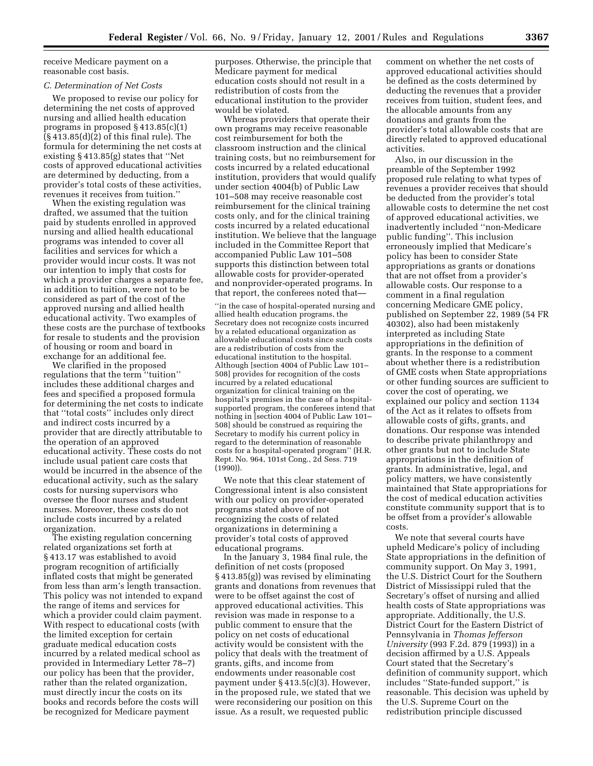receive Medicare payment on a reasonable cost basis.

#### *C. Determination of Net Costs*

We proposed to revise our policy for determining the net costs of approved nursing and allied health education programs in proposed § 413.85(c)(1) (§ 413.85(d)(2) of this final rule). The formula for determining the net costs at existing § 413.85(g) states that ''Net costs of approved educational activities are determined by deducting, from a provider's total costs of these activities, revenues it receives from tuition.''

When the existing regulation was drafted, we assumed that the tuition paid by students enrolled in approved nursing and allied health educational programs was intended to cover all facilities and services for which a provider would incur costs. It was not our intention to imply that costs for which a provider charges a separate fee, in addition to tuition, were not to be considered as part of the cost of the approved nursing and allied health educational activity. Two examples of these costs are the purchase of textbooks for resale to students and the provision of housing or room and board in exchange for an additional fee.

We clarified in the proposed regulations that the term ''tuition'' includes these additional charges and fees and specified a proposed formula for determining the net costs to indicate that ''total costs'' includes only direct and indirect costs incurred by a provider that are directly attributable to the operation of an approved educational activity. These costs do not include usual patient care costs that would be incurred in the absence of the educational activity, such as the salary costs for nursing supervisors who oversee the floor nurses and student nurses. Moreover, these costs do not include costs incurred by a related organization.

The existing regulation concerning related organizations set forth at § 413.17 was established to avoid program recognition of artificially inflated costs that might be generated from less than arm's length transaction. This policy was not intended to expand the range of items and services for which a provider could claim payment. With respect to educational costs (with the limited exception for certain graduate medical education costs incurred by a related medical school as provided in Intermediary Letter 78–7) our policy has been that the provider, rather than the related organization, must directly incur the costs on its books and records before the costs will be recognized for Medicare payment

purposes. Otherwise, the principle that Medicare payment for medical education costs should not result in a redistribution of costs from the educational institution to the provider would be violated.

Whereas providers that operate their own programs may receive reasonable cost reimbursement for both the classroom instruction and the clinical training costs, but no reimbursement for costs incurred by a related educational institution, providers that would qualify under section 4004(b) of Public Law 101–508 may receive reasonable cost reimbursement for the clinical training costs only, and for the clinical training costs incurred by a related educational institution. We believe that the language included in the Committee Report that accompanied Public Law 101–508 supports this distinction between total allowable costs for provider-operated and nonprovider-operated programs. In that report, the conferees noted that—

''in the case of hospital-operated nursing and allied health education programs, the Secretary does not recognize costs incurred by a related educational organization as allowable educational costs since such costs are a redistribution of costs from the educational institution to the hospital. Although [section 4004 of Public Law 101– 508] provides for recognition of the costs incurred by a related educational organization for clinical training on the hospital's premises in the case of a hospitalsupported program, the conferees intend that nothing in [section 4004 of Public Law 101– 508] should be construed as requiring the Secretary to modify his current policy in regard to the determination of reasonable costs for a hospital-operated program'' (H.R. Rept. No. 964, 101st Cong., 2d Sess. 719 (1990)).

We note that this clear statement of Congressional intent is also consistent with our policy on provider-operated programs stated above of not recognizing the costs of related organizations in determining a provider's total costs of approved educational programs.

In the January 3, 1984 final rule, the definition of net costs (proposed § 413.85(g)) was revised by eliminating grants and donations from revenues that were to be offset against the cost of approved educational activities. This revision was made in response to a public comment to ensure that the policy on net costs of educational activity would be consistent with the policy that deals with the treatment of grants, gifts, and income from endowments under reasonable cost payment under § 413.5(c)(3). However, in the proposed rule, we stated that we were reconsidering our position on this issue. As a result, we requested public

comment on whether the net costs of approved educational activities should be defined as the costs determined by deducting the revenues that a provider receives from tuition, student fees, and the allocable amounts from any donations and grants from the provider's total allowable costs that are directly related to approved educational activities.

Also, in our discussion in the preamble of the September 1992 proposed rule relating to what types of revenues a provider receives that should be deducted from the provider's total allowable costs to determine the net cost of approved educational activities, we inadvertently included ''non-Medicare public funding''. This inclusion erroneously implied that Medicare's policy has been to consider State appropriations as grants or donations that are not offset from a provider's allowable costs. Our response to a comment in a final regulation concerning Medicare GME policy, published on September 22, 1989 (54 FR 40302), also had been mistakenly interpreted as including State appropriations in the definition of grants. In the response to a comment about whether there is a redistribution of GME costs when State appropriations or other funding sources are sufficient to cover the cost of operating, we explained our policy and section 1134 of the Act as it relates to offsets from allowable costs of gifts, grants, and donations. Our response was intended to describe private philanthropy and other grants but not to include State appropriations in the definition of grants. In administrative, legal, and policy matters, we have consistently maintained that State appropriations for the cost of medical education activities constitute community support that is to be offset from a provider's allowable costs.

We note that several courts have upheld Medicare's policy of including State appropriations in the definition of community support. On May 3, 1991, the U.S. District Court for the Southern District of Mississippi ruled that the Secretary's offset of nursing and allied health costs of State appropriations was appropriate. Additionally, the U.S. District Court for the Eastern District of Pennsylvania in *Thomas Jefferson University* (993 F.2d. 879 (1993)) in a decision affirmed by a U.S. Appeals Court stated that the Secretary's definition of community support, which includes ''State-funded support,'' is reasonable. This decision was upheld by the U.S. Supreme Court on the redistribution principle discussed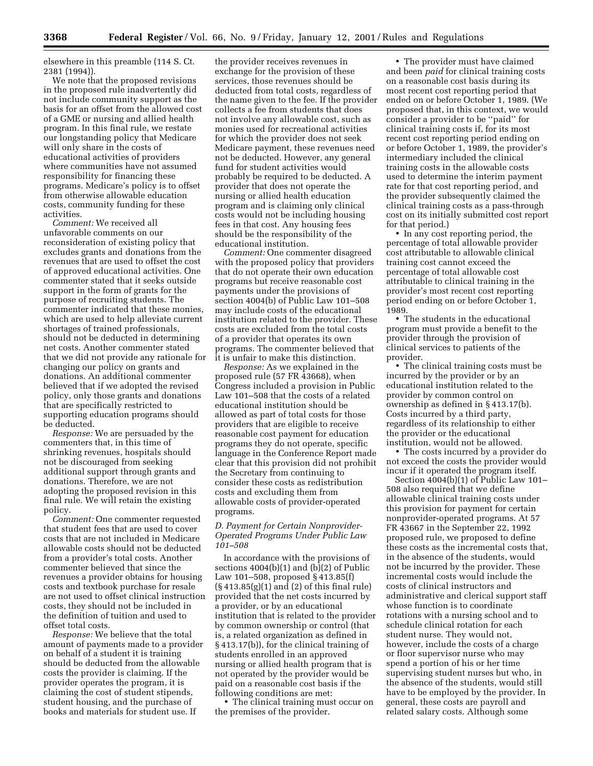elsewhere in this preamble (114 S. Ct. 2381 (1994)).

We note that the proposed revisions in the proposed rule inadvertently did not include community support as the basis for an offset from the allowed cost of a GME or nursing and allied health program. In this final rule, we restate our longstanding policy that Medicare will only share in the costs of educational activities of providers where communities have not assumed responsibility for financing these programs. Medicare's policy is to offset from otherwise allowable education costs, community funding for these activities.

*Comment:* We received all unfavorable comments on our reconsideration of existing policy that excludes grants and donations from the revenues that are used to offset the cost of approved educational activities. One commenter stated that it seeks outside support in the form of grants for the purpose of recruiting students. The commenter indicated that these monies, which are used to help alleviate current shortages of trained professionals, should not be deducted in determining net costs. Another commenter stated that we did not provide any rationale for changing our policy on grants and donations. An additional commenter believed that if we adopted the revised policy, only those grants and donations that are specifically restricted to supporting education programs should be deducted.

*Response:* We are persuaded by the commenters that, in this time of shrinking revenues, hospitals should not be discouraged from seeking additional support through grants and donations. Therefore, we are not adopting the proposed revision in this final rule. We will retain the existing policy.

*Comment:* One commenter requested that student fees that are used to cover costs that are not included in Medicare allowable costs should not be deducted from a provider's total costs. Another commenter believed that since the revenues a provider obtains for housing costs and textbook purchase for resale are not used to offset clinical instruction costs, they should not be included in the definition of tuition and used to offset total costs.

*Response:* We believe that the total amount of payments made to a provider on behalf of a student it is training should be deducted from the allowable costs the provider is claiming. If the provider operates the program, it is claiming the cost of student stipends, student housing, and the purchase of books and materials for student use. If

the provider receives revenues in exchange for the provision of these services, those revenues should be deducted from total costs, regardless of the name given to the fee. If the provider collects a fee from students that does not involve any allowable cost, such as monies used for recreational activities for which the provider does not seek Medicare payment, these revenues need not be deducted. However, any general fund for student activities would probably be required to be deducted. A provider that does not operate the nursing or allied health education program and is claiming only clinical costs would not be including housing fees in that cost. Any housing fees should be the responsibility of the educational institution.

*Comment:* One commenter disagreed with the proposed policy that providers that do not operate their own education programs but receive reasonable cost payments under the provisions of section 4004(b) of Public Law 101–508 may include costs of the educational institution related to the provider. These costs are excluded from the total costs of a provider that operates its own programs. The commenter believed that it is unfair to make this distinction.

*Response:* As we explained in the proposed rule (57 FR 43668), when Congress included a provision in Public Law 101–508 that the costs of a related educational institution should be allowed as part of total costs for those providers that are eligible to receive reasonable cost payment for education programs they do not operate, specific language in the Conference Report made clear that this provision did not prohibit the Secretary from continuing to consider these costs as redistribution costs and excluding them from allowable costs of provider-operated programs.

#### *D. Payment for Certain Nonprovider-Operated Programs Under Public Law 101–508*

In accordance with the provisions of sections  $4004(b)(1)$  and  $(b)(2)$  of Public Law 101–508, proposed § 413.85(f) (§ 413.85(g)(1) and (2) of this final rule) provided that the net costs incurred by a provider, or by an educational institution that is related to the provider by common ownership or control (that is, a related organization as defined in § 413.17(b)), for the clinical training of students enrolled in an approved nursing or allied health program that is not operated by the provider would be paid on a reasonable cost basis if the following conditions are met:

• The clinical training must occur on the premises of the provider.

• The provider must have claimed and been *paid* for clinical training costs on a reasonable cost basis during its most recent cost reporting period that ended on or before October 1, 1989. (We proposed that, in this context, we would consider a provider to be ''paid'' for clinical training costs if, for its most recent cost reporting period ending on or before October 1, 1989, the provider's intermediary included the clinical training costs in the allowable costs used to determine the interim payment rate for that cost reporting period, and the provider subsequently claimed the clinical training costs as a pass-through cost on its initially submitted cost report for that period.)

• In any cost reporting period, the percentage of total allowable provider cost attributable to allowable clinical training cost cannot exceed the percentage of total allowable cost attributable to clinical training in the provider's most recent cost reporting period ending on or before October 1, 1989.

• The students in the educational program must provide a benefit to the provider through the provision of clinical services to patients of the provider.

• The clinical training costs must be incurred by the provider or by an educational institution related to the provider by common control on ownership as defined in § 413.17(b). Costs incurred by a third party, regardless of its relationship to either the provider or the educational institution, would not be allowed.

• The costs incurred by a provider do not exceed the costs the provider would incur if it operated the program itself.

Section 4004(b)(1) of Public Law 101– 508 also required that we define allowable clinical training costs under this provision for payment for certain nonprovider-operated programs. At 57 FR 43667 in the September 22, 1992 proposed rule, we proposed to define these costs as the incremental costs that, in the absence of the students, would not be incurred by the provider. These incremental costs would include the costs of clinical instructors and administrative and clerical support staff whose function is to coordinate rotations with a nursing school and to schedule clinical rotation for each student nurse. They would not, however, include the costs of a charge or floor supervisor nurse who may spend a portion of his or her time supervising student nurses but who, in the absence of the students, would still have to be employed by the provider. In general, these costs are payroll and related salary costs. Although some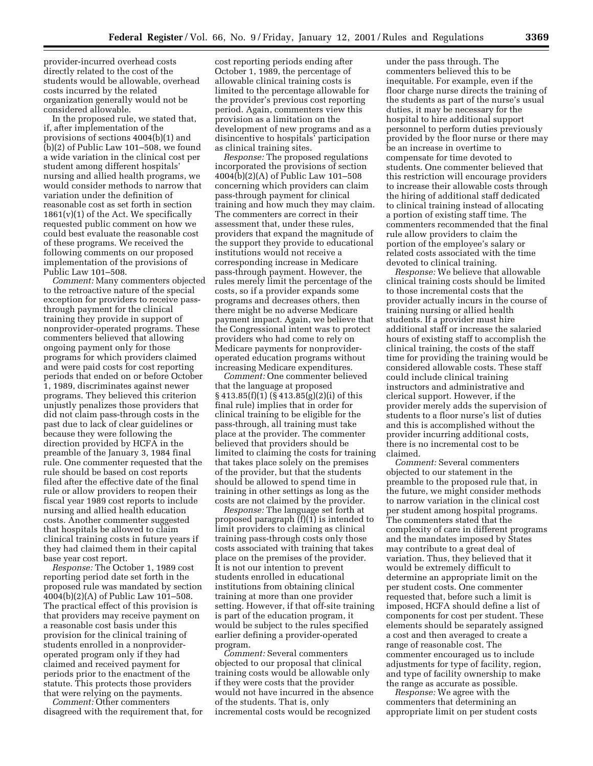provider-incurred overhead costs directly related to the cost of the students would be allowable, overhead costs incurred by the related organization generally would not be considered allowable.

In the proposed rule, we stated that, if, after implementation of the provisions of sections 4004(b)(1) and (b)(2) of Public Law 101–508, we found a wide variation in the clinical cost per student among different hospitals' nursing and allied health programs, we would consider methods to narrow that variation under the definition of reasonable cost as set forth in section  $1861(v)(1)$  of the Act. We specifically requested public comment on how we could best evaluate the reasonable cost of these programs. We received the following comments on our proposed implementation of the provisions of Public Law 101–508.

*Comment:* Many commenters objected to the retroactive nature of the special exception for providers to receive passthrough payment for the clinical training they provide in support of nonprovider-operated programs. These commenters believed that allowing ongoing payment only for those programs for which providers claimed and were paid costs for cost reporting periods that ended on or before October 1, 1989, discriminates against newer programs. They believed this criterion unjustly penalizes those providers that did not claim pass-through costs in the past due to lack of clear guidelines or because they were following the direction provided by HCFA in the preamble of the January 3, 1984 final rule. One commenter requested that the rule should be based on cost reports filed after the effective date of the final rule or allow providers to reopen their fiscal year 1989 cost reports to include nursing and allied health education costs. Another commenter suggested that hospitals be allowed to claim clinical training costs in future years if they had claimed them in their capital base year cost report.

*Response:* The October 1, 1989 cost reporting period date set forth in the proposed rule was mandated by section 4004(b)(2)(A) of Public Law 101–508. The practical effect of this provision is that providers may receive payment on a reasonable cost basis under this provision for the clinical training of students enrolled in a nonprovideroperated program only if they had claimed and received payment for periods prior to the enactment of the statute. This protects those providers that were relying on the payments.

*Comment:* Other commenters disagreed with the requirement that, for cost reporting periods ending after October 1, 1989, the percentage of allowable clinical training costs is limited to the percentage allowable for the provider's previous cost reporting period. Again, commenters view this provision as a limitation on the development of new programs and as a disincentive to hospitals' participation as clinical training sites.

*Response:* The proposed regulations incorporated the provisions of section 4004(b)(2)(A) of Public Law 101–508 concerning which providers can claim pass-through payment for clinical training and how much they may claim. The commenters are correct in their assessment that, under these rules, providers that expand the magnitude of the support they provide to educational institutions would not receive a corresponding increase in Medicare pass-through payment. However, the rules merely limit the percentage of the costs, so if a provider expands some programs and decreases others, then there might be no adverse Medicare payment impact. Again, we believe that the Congressional intent was to protect providers who had come to rely on Medicare payments for nonprovideroperated education programs without increasing Medicare expenditures.

*Comment:* One commenter believed that the language at proposed  $\S 413.85(f)(1)(\overline{\S 413.85(g)}(2)(i)$  of this final rule) implies that in order for clinical training to be eligible for the pass-through, all training must take place at the provider. The commenter believed that providers should be limited to claiming the costs for training that takes place solely on the premises of the provider, but that the students should be allowed to spend time in training in other settings as long as the costs are not claimed by the provider.

*Response:* The language set forth at proposed paragraph (f)(1) is intended to limit providers to claiming as clinical training pass-through costs only those costs associated with training that takes place on the premises of the provider. It is not our intention to prevent students enrolled in educational institutions from obtaining clinical training at more than one provider setting. However, if that off-site training is part of the education program, it would be subject to the rules specified earlier defining a provider-operated program.

*Comment:* Several commenters objected to our proposal that clinical training costs would be allowable only if they were costs that the provider would not have incurred in the absence of the students. That is, only incremental costs would be recognized

under the pass through. The commenters believed this to be inequitable. For example, even if the floor charge nurse directs the training of the students as part of the nurse's usual duties, it may be necessary for the hospital to hire additional support personnel to perform duties previously provided by the floor nurse or there may be an increase in overtime to compensate for time devoted to students. One commenter believed that this restriction will encourage providers to increase their allowable costs through the hiring of additional staff dedicated to clinical training instead of allocating a portion of existing staff time. The commenters recommended that the final rule allow providers to claim the portion of the employee's salary or related costs associated with the time devoted to clinical training.

*Response:* We believe that allowable clinical training costs should be limited to those incremental costs that the provider actually incurs in the course of training nursing or allied health students. If a provider must hire additional staff or increase the salaried hours of existing staff to accomplish the clinical training, the costs of the staff time for providing the training would be considered allowable costs. These staff could include clinical training instructors and administrative and clerical support. However, if the provider merely adds the supervision of students to a floor nurse's list of duties and this is accomplished without the provider incurring additional costs, there is no incremental cost to be claimed.

*Comment:* Several commenters objected to our statement in the preamble to the proposed rule that, in the future, we might consider methods to narrow variation in the clinical cost per student among hospital programs. The commenters stated that the complexity of care in different programs and the mandates imposed by States may contribute to a great deal of variation. Thus, they believed that it would be extremely difficult to determine an appropriate limit on the per student costs. One commenter requested that, before such a limit is imposed, HCFA should define a list of components for cost per student. These elements should be separately assigned a cost and then averaged to create a range of reasonable cost. The commenter encouraged us to include adjustments for type of facility, region, and type of facility ownership to make the range as accurate as possible.

*Response:* We agree with the commenters that determining an appropriate limit on per student costs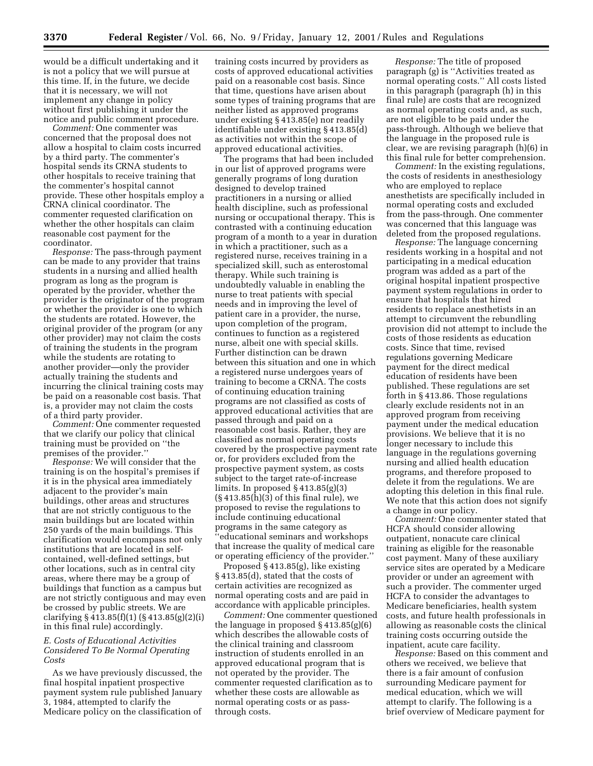would be a difficult undertaking and it is not a policy that we will pursue at this time. If, in the future, we decide that it is necessary, we will not implement any change in policy without first publishing it under the notice and public comment procedure.

*Comment:* One commenter was concerned that the proposal does not allow a hospital to claim costs incurred by a third party. The commenter's hospital sends its CRNA students to other hospitals to receive training that the commenter's hospital cannot provide. These other hospitals employ a CRNA clinical coordinator. The commenter requested clarification on whether the other hospitals can claim reasonable cost payment for the coordinator.

*Response:* The pass-through payment can be made to any provider that trains students in a nursing and allied health program as long as the program is operated by the provider, whether the provider is the originator of the program or whether the provider is one to which the students are rotated. However, the original provider of the program (or any other provider) may not claim the costs of training the students in the program while the students are rotating to another provider—only the provider actually training the students and incurring the clinical training costs may be paid on a reasonable cost basis. That is, a provider may not claim the costs of a third party provider.

*Comment:* One commenter requested that we clarify our policy that clinical training must be provided on ''the premises of the provider.''

*Response:* We will consider that the training is on the hospital's premises if it is in the physical area immediately adjacent to the provider's main buildings, other areas and structures that are not strictly contiguous to the main buildings but are located within 250 yards of the main buildings. This clarification would encompass not only institutions that are located in selfcontained, well-defined settings, but other locations, such as in central city areas, where there may be a group of buildings that function as a campus but are not strictly contiguous and may even be crossed by public streets. We are clarifying § 413.85(f)(1) (§ 413.85(g)(2)(i) in this final rule) accordingly.

#### *E. Costs of Educational Activities Considered To Be Normal Operating Costs*

As we have previously discussed, the final hospital inpatient prospective payment system rule published January 3, 1984, attempted to clarify the Medicare policy on the classification of

training costs incurred by providers as costs of approved educational activities paid on a reasonable cost basis. Since that time, questions have arisen about some types of training programs that are neither listed as approved programs under existing § 413.85(e) nor readily identifiable under existing § 413.85(d) as activities not within the scope of approved educational activities.

The programs that had been included in our list of approved programs were generally programs of long duration designed to develop trained practitioners in a nursing or allied health discipline, such as professional nursing or occupational therapy. This is contrasted with a continuing education program of a month to a year in duration in which a practitioner, such as a registered nurse, receives training in a specialized skill, such as enterostomal therapy. While such training is undoubtedly valuable in enabling the nurse to treat patients with special needs and in improving the level of patient care in a provider, the nurse, upon completion of the program, continues to function as a registered nurse, albeit one with special skills. Further distinction can be drawn between this situation and one in which a registered nurse undergoes years of training to become a CRNA. The costs of continuing education training programs are not classified as costs of approved educational activities that are passed through and paid on a reasonable cost basis. Rather, they are classified as normal operating costs covered by the prospective payment rate or, for providers excluded from the prospective payment system, as costs subject to the target rate-of-increase limits. In proposed § 413.85(g)(3) (§ 413.85(h)(3) of this final rule), we proposed to revise the regulations to include continuing educational programs in the same category as ''educational seminars and workshops that increase the quality of medical care or operating efficiency of the provider.''

Proposed § 413.85(g), like existing § 413.85(d), stated that the costs of certain activities are recognized as normal operating costs and are paid in accordance with applicable principles.

*Comment:* One commenter questioned the language in proposed § 413.85(g)(6) which describes the allowable costs of the clinical training and classroom instruction of students enrolled in an approved educational program that is not operated by the provider. The commenter requested clarification as to whether these costs are allowable as normal operating costs or as passthrough costs.

*Response:* The title of proposed paragraph (g) is ''Activities treated as normal operating costs.'' All costs listed in this paragraph (paragraph (h) in this final rule) are costs that are recognized as normal operating costs and, as such, are not eligible to be paid under the pass-through. Although we believe that the language in the proposed rule is clear, we are revising paragraph (h)(6) in this final rule for better comprehension.

*Comment:* In the existing regulations, the costs of residents in anesthesiology who are employed to replace anesthetists are specifically included in normal operating costs and excluded from the pass-through. One commenter was concerned that this language was deleted from the proposed regulations.

*Response:* The language concerning residents working in a hospital and not participating in a medical education program was added as a part of the original hospital inpatient prospective payment system regulations in order to ensure that hospitals that hired residents to replace anesthetists in an attempt to circumvent the rebundling provision did not attempt to include the costs of those residents as education costs. Since that time, revised regulations governing Medicare payment for the direct medical education of residents have been published. These regulations are set forth in § 413.86. Those regulations clearly exclude residents not in an approved program from receiving payment under the medical education provisions. We believe that it is no longer necessary to include this language in the regulations governing nursing and allied health education programs, and therefore proposed to delete it from the regulations. We are adopting this deletion in this final rule. We note that this action does not signify a change in our policy.

*Comment:* One commenter stated that HCFA should consider allowing outpatient, nonacute care clinical training as eligible for the reasonable cost payment. Many of these auxiliary service sites are operated by a Medicare provider or under an agreement with such a provider. The commenter urged HCFA to consider the advantages to Medicare beneficiaries, health system costs, and future health professionals in allowing as reasonable costs the clinical training costs occurring outside the inpatient, acute care facility.

*Response:* Based on this comment and others we received, we believe that there is a fair amount of confusion surrounding Medicare payment for medical education, which we will attempt to clarify. The following is a brief overview of Medicare payment for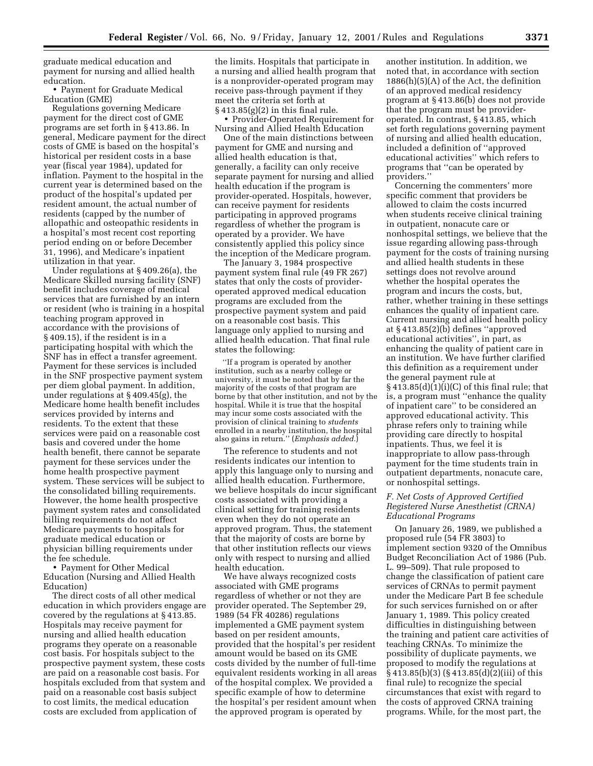graduate medical education and payment for nursing and allied health education.

• Payment for Graduate Medical Education (GME)

Regulations governing Medicare payment for the direct cost of GME programs are set forth in § 413.86. In general, Medicare payment for the direct costs of GME is based on the hospital's historical per resident costs in a base year (fiscal year 1984), updated for inflation. Payment to the hospital in the current year is determined based on the product of the hospital's updated per resident amount, the actual number of residents (capped by the number of allopathic and osteopathic residents in a hospital's most recent cost reporting period ending on or before December 31, 1996), and Medicare's inpatient utilization in that year.

Under regulations at § 409.26(a), the Medicare Skilled nursing facility (SNF) benefit includes coverage of medical services that are furnished by an intern or resident (who is training in a hospital teaching program approved in accordance with the provisions of § 409.15), if the resident is in a participating hospital with which the SNF has in effect a transfer agreement. Payment for these services is included in the SNF prospective payment system per diem global payment. In addition, under regulations at § 409.45(g), the Medicare home health benefit includes services provided by interns and residents. To the extent that these services were paid on a reasonable cost basis and covered under the home health benefit, there cannot be separate payment for these services under the home health prospective payment system. These services will be subject to the consolidated billing requirements. However, the home health prospective payment system rates and consolidated billing requirements do not affect Medicare payments to hospitals for graduate medical education or physician billing requirements under the fee schedule.

• Payment for Other Medical Education (Nursing and Allied Health Education)

The direct costs of all other medical education in which providers engage are covered by the regulations at § 413.85. Hospitals may receive payment for nursing and allied health education programs they operate on a reasonable cost basis. For hospitals subject to the prospective payment system, these costs are paid on a reasonable cost basis. For hospitals excluded from that system and paid on a reasonable cost basis subject to cost limits, the medical education costs are excluded from application of

the limits. Hospitals that participate in a nursing and allied health program that is a nonprovider-operated program may receive pass-through payment if they meet the criteria set forth at  $§413.85(g)(2)$  in this final rule.

• Provider-Operated Requirement for Nursing and Allied Health Education

One of the main distinctions between payment for GME and nursing and allied health education is that, generally, a facility can only receive separate payment for nursing and allied health education if the program is provider-operated. Hospitals, however, can receive payment for residents participating in approved programs regardless of whether the program is operated by a provider. We have consistently applied this policy since the inception of the Medicare program.

The January 3, 1984 prospective payment system final rule (49 FR 267) states that only the costs of provideroperated approved medical education programs are excluded from the prospective payment system and paid on a reasonable cost basis. This language only applied to nursing and allied health education. That final rule states the following:

''If a program is operated by another institution, such as a nearby college or university, it must be noted that by far the majority of the costs of that program are borne by that other institution, and not by the hospital. While it is true that the hospital may incur some costs associated with the provision of clinical training to *students* enrolled in a nearby institution, the hospital also gains in return.'' (*Emphasis added.*)

The reference to students and not residents indicates our intention to apply this language only to nursing and allied health education. Furthermore, we believe hospitals do incur significant costs associated with providing a clinical setting for training residents even when they do not operate an approved program. Thus, the statement that the majority of costs are borne by that other institution reflects our views only with respect to nursing and allied health education.

We have always recognized costs associated with GME programs regardless of whether or not they are provider operated. The September 29, 1989 (54 FR 40286) regulations implemented a GME payment system based on per resident amounts, provided that the hospital's per resident amount would be based on its GME costs divided by the number of full-time equivalent residents working in all areas of the hospital complex. We provided a specific example of how to determine the hospital's per resident amount when the approved program is operated by

another institution. In addition, we noted that, in accordance with section 1886(h)(5)(A) of the Act, the definition of an approved medical residency program at § 413.86(b) does not provide that the program must be provideroperated. In contrast, § 413.85, which set forth regulations governing payment of nursing and allied health education, included a definition of ''approved educational activities'' which refers to programs that ''can be operated by providers.''

Concerning the commenters' more specific comment that providers be allowed to claim the costs incurred when students receive clinical training in outpatient, nonacute care or nonhospital settings, we believe that the issue regarding allowing pass-through payment for the costs of training nursing and allied health students in these settings does not revolve around whether the hospital operates the program and incurs the costs, but, rather, whether training in these settings enhances the quality of inpatient care. Current nursing and allied health policy at § 413.85(2)(b) defines ''approved educational activities'', in part, as enhancing the quality of patient care in an institution. We have further clarified this definition as a requirement under the general payment rule at § 413.85(d)(1)(i)(C) of this final rule; that is, a program must ''enhance the quality of inpatient care'' to be considered an approved educational activity. This phrase refers only to training while providing care directly to hospital inpatients. Thus, we feel it is inappropriate to allow pass-through payment for the time students train in outpatient departments, nonacute care, or nonhospital settings.

#### *F. Net Costs of Approved Certified Registered Nurse Anesthetist (CRNA) Educational Programs*

On January 26, 1989, we published a proposed rule (54 FR 3803) to implement section 9320 of the Omnibus Budget Reconciliation Act of 1986 (Pub. L. 99–509). That rule proposed to change the classification of patient care services of CRNAs to permit payment under the Medicare Part B fee schedule for such services furnished on or after January 1, 1989. This policy created difficulties in distinguishing between the training and patient care activities of teaching CRNAs. To minimize the possibility of duplicate payments, we proposed to modify the regulations at § 413.85(b)(3) (§ 413.85(d)(2)(iii) of this final rule) to recognize the special circumstances that exist with regard to the costs of approved CRNA training programs. While, for the most part, the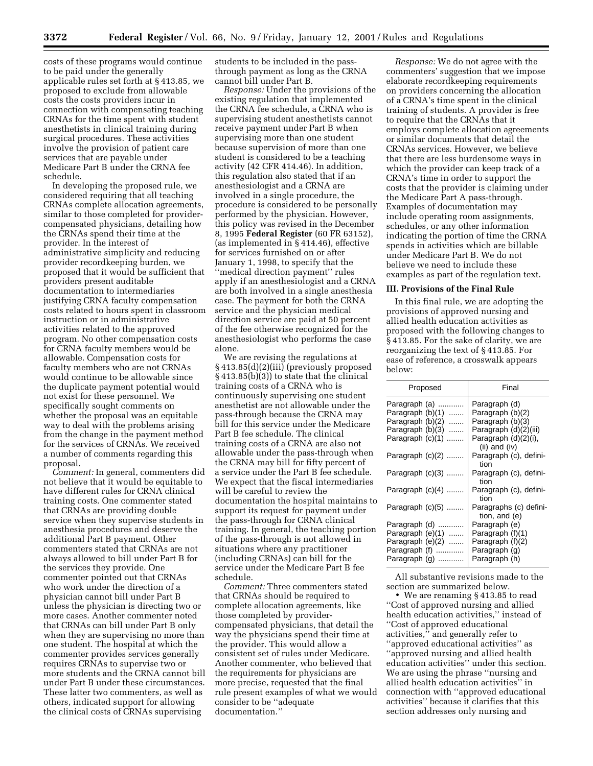costs of these programs would continue to be paid under the generally applicable rules set forth at § 413.85, we proposed to exclude from allowable costs the costs providers incur in connection with compensating teaching CRNAs for the time spent with student anesthetists in clinical training during surgical procedures. These activities involve the provision of patient care services that are payable under Medicare Part B under the CRNA fee schedule.

In developing the proposed rule, we considered requiring that all teaching CRNAs complete allocation agreements, similar to those completed for providercompensated physicians, detailing how the CRNAs spend their time at the provider. In the interest of administrative simplicity and reducing provider recordkeeping burden, we proposed that it would be sufficient that providers present auditable documentation to intermediaries justifying CRNA faculty compensation costs related to hours spent in classroom instruction or in administrative activities related to the approved program. No other compensation costs for CRNA faculty members would be allowable. Compensation costs for faculty members who are not CRNAs would continue to be allowable since the duplicate payment potential would not exist for these personnel. We specifically sought comments on whether the proposal was an equitable way to deal with the problems arising from the change in the payment method for the services of CRNAs. We received a number of comments regarding this proposal.

*Comment:* In general, commenters did not believe that it would be equitable to have different rules for CRNA clinical training costs. One commenter stated that CRNAs are providing double service when they supervise students in anesthesia procedures and deserve the additional Part B payment. Other commenters stated that CRNAs are not always allowed to bill under Part B for the services they provide. One commenter pointed out that CRNAs who work under the direction of a physician cannot bill under Part B unless the physician is directing two or more cases. Another commenter noted that CRNAs can bill under Part B only when they are supervising no more than one student. The hospital at which the commenter provides services generally requires CRNAs to supervise two or more students and the CRNA cannot bill under Part B under these circumstances. These latter two commenters, as well as others, indicated support for allowing the clinical costs of CRNAs supervising

students to be included in the passthrough payment as long as the CRNA cannot bill under Part B.

*Response:* Under the provisions of the existing regulation that implemented the CRNA fee schedule, a CRNA who is supervising student anesthetists cannot receive payment under Part B when supervising more than one student because supervision of more than one student is considered to be a teaching activity (42 CFR 414.46). In addition, this regulation also stated that if an anesthesiologist and a CRNA are involved in a single procedure, the procedure is considered to be personally performed by the physician. However, this policy was revised in the December 8, 1995 **Federal Register** (60 FR 63152), (as implemented in § 414.46), effective for services furnished on or after January 1, 1998, to specify that the ''medical direction payment'' rules apply if an anesthesiologist and a CRNA are both involved in a single anesthesia case. The payment for both the CRNA service and the physician medical direction service are paid at 50 percent of the fee otherwise recognized for the anesthesiologist who performs the case alone.

We are revising the regulations at § 413.85(d)(2)(iii) (previously proposed § 413.85(b)(3)) to state that the clinical training costs of a CRNA who is continuously supervising one student anesthetist are not allowable under the pass-through because the CRNA may bill for this service under the Medicare Part B fee schedule. The clinical training costs of a CRNA are also not allowable under the pass-through when the CRNA may bill for fifty percent of a service under the Part B fee schedule. We expect that the fiscal intermediaries will be careful to review the documentation the hospital maintains to support its request for payment under the pass-through for CRNA clinical training. In general, the teaching portion of the pass-through is not allowed in situations where any practitioner (including CRNAs) can bill for the service under the Medicare Part B fee schedule.

*Comment:* Three commenters stated that CRNAs should be required to complete allocation agreements, like those completed by providercompensated physicians, that detail the way the physicians spend their time at the provider. This would allow a consistent set of rules under Medicare. Another commenter, who believed that the requirements for physicians are more precise, requested that the final rule present examples of what we would consider to be ''adequate documentation.''

*Response:* We do not agree with the commenters' suggestion that we impose elaborate recordkeeping requirements on providers concerning the allocation of a CRNA's time spent in the clinical training of students. A provider is free to require that the CRNAs that it employs complete allocation agreements or similar documents that detail the CRNAs services. However, we believe that there are less burdensome ways in which the provider can keep track of a CRNA's time in order to support the costs that the provider is claiming under the Medicare Part A pass-through. Examples of documentation may include operating room assignments, schedules, or any other information indicating the portion of time the CRNA spends in activities which are billable under Medicare Part B. We do not believe we need to include these examples as part of the regulation text.

#### **III. Provisions of the Final Rule**

In this final rule, we are adopting the provisions of approved nursing and allied health education activities as proposed with the following changes to § 413.85. For the sake of clarity, we are reorganizing the text of § 413.85. For ease of reference, a crosswalk appears below:

| Proposed                                                                                                          | Final                                                                                                                   |
|-------------------------------------------------------------------------------------------------------------------|-------------------------------------------------------------------------------------------------------------------------|
| Paragraph (a)<br>Paragraph (b)(1)<br>.<br>Paragraph (b)(2)<br>.<br>Paragraph (b)(3)<br>.<br>Paragraph (c)(1)<br>. | Paragraph (d)<br>Paragraph (b)(2)<br>Paragraph (b)(3)<br>Paragraph (d)(2)(iii)<br>Paragraph (d)(2)(i),<br>(ii) and (iv) |
| Paragraph $(c)(2)$                                                                                                | Paragraph (c), defini-<br>tion                                                                                          |
| Paragraph (c)(3)                                                                                                  | Paragraph (c), defini-<br>tion                                                                                          |
| Paragraph $(c)(4)$                                                                                                | Paragraph (c), defini-<br>tion                                                                                          |
| Paragraph (c)(5)                                                                                                  | Paragraphs (c) defini-<br>tion, and (e)                                                                                 |
| Paragraph (d)<br>Paragraph $(e)(1)$<br>Paragraph (e)(2)<br>Paragraph (f)<br>Paragraph (g)                         | Paragraph (e)<br>Paragraph (f)(1)<br>Paragraph (f)(2)<br>Paragraph (g)<br>Paragraph (h)                                 |

All substantive revisions made to the section are summarized below.

• We are renaming § 413.85 to read ''Cost of approved nursing and allied health education activities,'' instead of ''Cost of approved educational activities,'' and generally refer to ''approved educational activities'' as ''approved nursing and allied health education activities'' under this section. We are using the phrase ''nursing and allied health education activities'' in connection with ''approved educational activities'' because it clarifies that this section addresses only nursing and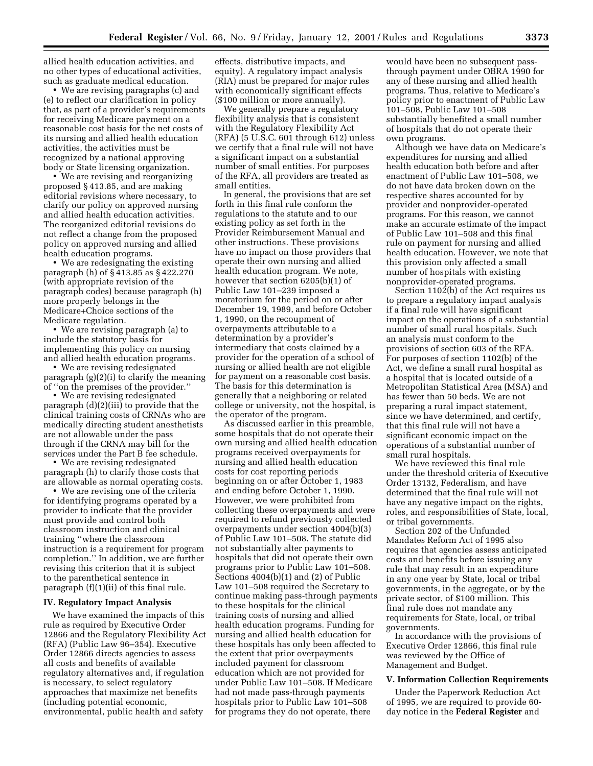allied health education activities, and no other types of educational activities, such as graduate medical education.

• We are revising paragraphs (c) and (e) to reflect our clarification in policy that, as part of a provider's requirements for receiving Medicare payment on a reasonable cost basis for the net costs of its nursing and allied health education activities, the activities must be recognized by a national approving body or State licensing organization.

• We are revising and reorganizing proposed § 413.85, and are making editorial revisions where necessary, to clarify our policy on approved nursing and allied health education activities. The reorganized editorial revisions do not reflect a change from the proposed policy on approved nursing and allied health education programs.

• We are redesignating the existing paragraph (h) of § 413.85 as § 422.270 (with appropriate revision of the paragraph codes) because paragraph (h) more properly belongs in the Medicare+Choice sections of the Medicare regulation.

• We are revising paragraph (a) to include the statutory basis for implementing this policy on nursing and allied health education programs.

• We are revising redesignated paragraph (g)(2)(i) to clarify the meaning of ''on the premises of the provider.''

• We are revising redesignated paragraph (d)(2)(iii) to provide that the clinical training costs of CRNAs who are medically directing student anesthetists are not allowable under the pass through if the CRNA may bill for the services under the Part B fee schedule.

• We are revising redesignated paragraph (h) to clarify those costs that are allowable as normal operating costs.

• We are revising one of the criteria for identifying programs operated by a provider to indicate that the provider must provide and control both classroom instruction and clinical training ''where the classroom instruction is a requirement for program completion.'' In addition, we are further revising this criterion that it is subject to the parenthetical sentence in paragraph (f)(1)(ii) of this final rule.

#### **IV. Regulatory Impact Analysis**

We have examined the impacts of this rule as required by Executive Order 12866 and the Regulatory Flexibility Act (RFA) (Public Law 96–354). Executive Order 12866 directs agencies to assess all costs and benefits of available regulatory alternatives and, if regulation is necessary, to select regulatory approaches that maximize net benefits (including potential economic, environmental, public health and safety

effects, distributive impacts, and equity). A regulatory impact analysis (RIA) must be prepared for major rules with economically significant effects (\$100 million or more annually).

We generally prepare a regulatory flexibility analysis that is consistent with the Regulatory Flexibility Act (RFA) (5 U.S.C. 601 through 612) unless we certify that a final rule will not have a significant impact on a substantial number of small entities. For purposes of the RFA, all providers are treated as small entities.

In general, the provisions that are set forth in this final rule conform the regulations to the statute and to our existing policy as set forth in the Provider Reimbursement Manual and other instructions. These provisions have no impact on those providers that operate their own nursing and allied health education program. We note, however that section 6205(b)(1) of Public Law 101–239 imposed a moratorium for the period on or after December 19, 1989, and before October 1, 1990, on the recoupment of overpayments attributable to a determination by a provider's intermediary that costs claimed by a provider for the operation of a school of nursing or allied health are not eligible for payment on a reasonable cost basis. The basis for this determination is generally that a neighboring or related college or university, not the hospital, is the operator of the program.

As discussed earlier in this preamble, some hospitals that do not operate their own nursing and allied health education programs received overpayments for nursing and allied health education costs for cost reporting periods beginning on or after October 1, 1983 and ending before October 1, 1990. However, we were prohibited from collecting these overpayments and were required to refund previously collected overpayments under section 4004(b)(3) of Public Law 101–508. The statute did not substantially alter payments to hospitals that did not operate their own programs prior to Public Law 101–508. Sections 4004(b)(1) and (2) of Public Law 101–508 required the Secretary to continue making pass-through payments to these hospitals for the clinical training costs of nursing and allied health education programs. Funding for nursing and allied health education for these hospitals has only been affected to the extent that prior overpayments included payment for classroom education which are not provided for under Public Law 101–508. If Medicare had not made pass-through payments hospitals prior to Public Law 101–508 for programs they do not operate, there

would have been no subsequent passthrough payment under OBRA 1990 for any of these nursing and allied health programs. Thus, relative to Medicare's policy prior to enactment of Public Law 101–508, Public Law 101–508 substantially benefited a small number of hospitals that do not operate their own programs.

Although we have data on Medicare's expenditures for nursing and allied health education both before and after enactment of Public Law 101–508, we do not have data broken down on the respective shares accounted for by provider and nonprovider-operated programs. For this reason, we cannot make an accurate estimate of the impact of Public Law 101–508 and this final rule on payment for nursing and allied health education. However, we note that this provision only affected a small number of hospitals with existing nonprovider-operated programs.

Section 1102(b) of the Act requires us to prepare a regulatory impact analysis if a final rule will have significant impact on the operations of a substantial number of small rural hospitals. Such an analysis must conform to the provisions of section 603 of the RFA. For purposes of section 1102(b) of the Act, we define a small rural hospital as a hospital that is located outside of a Metropolitan Statistical Area (MSA) and has fewer than 50 beds. We are not preparing a rural impact statement, since we have determined, and certify, that this final rule will not have a significant economic impact on the operations of a substantial number of small rural hospitals.

We have reviewed this final rule under the threshold criteria of Executive Order 13132, Federalism, and have determined that the final rule will not have any negative impact on the rights, roles, and responsibilities of State, local, or tribal governments.

Section 202 of the Unfunded Mandates Reform Act of 1995 also requires that agencies assess anticipated costs and benefits before issuing any rule that may result in an expenditure in any one year by State, local or tribal governments, in the aggregate, or by the private sector, of \$100 million. This final rule does not mandate any requirements for State, local, or tribal governments.

In accordance with the provisions of Executive Order 12866, this final rule was reviewed by the Office of Management and Budget.

#### **V. Information Collection Requirements**

Under the Paperwork Reduction Act of 1995, we are required to provide 60 day notice in the **Federal Register** and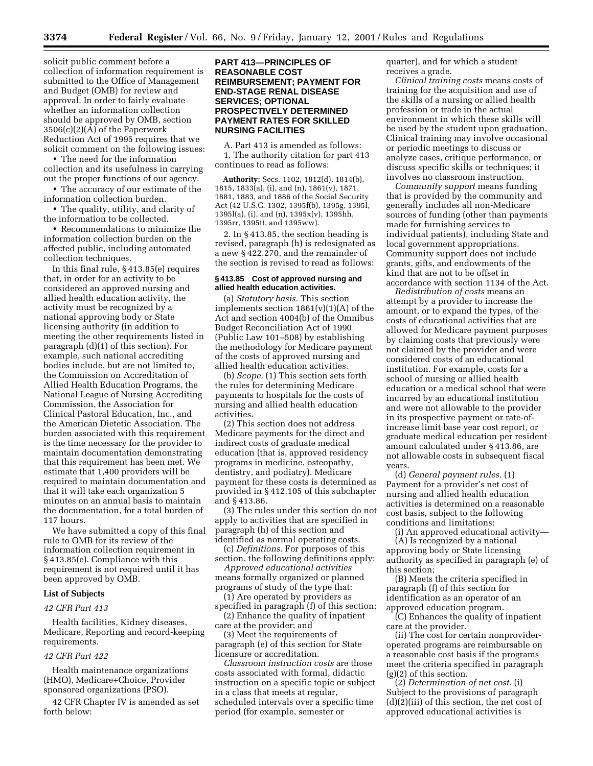solicit public comment before a collection of information requirement is submitted to the Office of Management and Budget (OMB) for review and approval. In order to fairly evaluate whether an information collection should be approved by OMB, section 3506(c)(2)(A) of the Paperwork Reduction Act of 1995 requires that we solicit comment on the following issues:

• The need for the information collection and its usefulness in carrying out the proper functions of our agency.

• The accuracy of our estimate of the information collection burden.

• The quality, utility, and clarity of the information to be collected.

• Recommendations to minimize the information collection burden on the affected public, including automated collection techniques.

In this final rule, § 413.85(e) requires that, in order for an activity to be considered an approved nursing and allied health education activity, the activity must be recognized by a national approving body or State licensing authority (in addition to meeting the other requirements listed in paragraph (d)(1) of this section). For example, such national accrediting bodies include, but are not limited to, the Commission on Accreditation of Allied Health Education Programs, the National League of Nursing Accrediting Commission, the Association for Clinical Pastoral Education, Inc., and the American Dietetic Association. The burden associated with this requirement is the time necessary for the provider to maintain documentation demonstrating that this requirement has been met. We estimate that 1,400 providers will be required to maintain documentation and that it will take each organization 5 minutes on an annual basis to maintain the documentation, for a total burden of 117 hours.

We have submitted a copy of this final rule to OMB for its review of the information collection requirement in § 413.85(e). Compliance with this requirement is not required until it has been approved by OMB.

#### **List of Subjects**

#### *42 CFR Part 413*

Health facilities, Kidney diseases, Medicare, Reporting and record-keeping requirements.

#### *42 CFR Part 422*

Health maintenance organizations (HMO), Medicare+Choice, Provider sponsored organizations (PSO).

42 CFR Chapter IV is amended as set forth below:

#### **PART 413—PRINCIPLES OF REASONABLE COST REIMBURSEMENT; PAYMENT FOR END-STAGE RENAL DISEASE SERVICES; OPTIONAL PROSPECTIVELY DETERMINED PAYMENT RATES FOR SKILLED NURSING FACILITIES**

A. Part 413 is amended as follows: 1. The authority citation for part 413 continues to read as follows:

**Authority:** Secs. 1102, 1812(d), 1814(b), 1815, 1833(a), (i), and (n), 1861(v), 1871, 1881, 1883, and 1886 of the Social Security Act (42 U.S.C. 1302, 1395f(b), 1395g, 1395l, 1395l(a), (i), and (n), 1395x(v), 1395hh, 1395rr, 1395tt, and 1395ww).

2. In § 413.85, the section heading is revised, paragraph (h) is redesignated as a new § 422.270, and the remainder of the section is revised to read as follows:

#### **§ 413.85 Cost of approved nursing and allied health education activities.**

(a) *Statutory basis.* This section implements section  $1861(v)(1)(A)$  of the Act and section 4004(b) of the Omnibus Budget Reconciliation Act of 1990 (Public Law 101–508) by establishing the methodology for Medicare payment of the costs of approved nursing and allied health education activities.

(b) *Scope.* (1) This section sets forth the rules for determining Medicare payments to hospitals for the costs of nursing and allied health education activities.

(2) This section does not address Medicare payments for the direct and indirect costs of graduate medical education (that is, approved residency programs in medicine, osteopathy, dentistry, and podiatry). Medicare payment for these costs is determined as provided in § 412.105 of this subchapter and § 413.86.

(3) The rules under this section do not apply to activities that are specified in paragraph (h) of this section and identified as normal operating costs.

(c) *Definitions.* For purposes of this section, the following definitions apply:

*Approved educational activities* means formally organized or planned programs of study of the type that:

(1) Are operated by providers as specified in paragraph (f) of this section;

(2) Enhance the quality of inpatient care at the provider; and

(3) Meet the requirements of paragraph (e) of this section for State licensure or accreditation.

*Classroom instruction costs* are those costs associated with formal, didactic instruction on a specific topic or subject in a class that meets at regular, scheduled intervals over a specific time period (for example, semester or

quarter), and for which a student receives a grade.

*Clinical training costs* means costs of training for the acquisition and use of the skills of a nursing or allied health profession or trade in the actual environment in which these skills will be used by the student upon graduation. Clinical training may involve occasional or periodic meetings to discuss or analyze cases, critique performance, or discuss specific skills or techniques; it involves no classroom instruction.

*Community support* means funding that is provided by the community and generally includes all non-Medicare sources of funding (other than payments made for furnishing services to individual patients), including State and local government appropriations. Community support does not include grants, gifts, and endowments of the kind that are not to be offset in accordance with section 1134 of the Act.

*Redistribution of costs* means an attempt by a provider to increase the amount, or to expand the types, of the costs of educational activities that are allowed for Medicare payment purposes by claiming costs that previously were not claimed by the provider and were considered costs of an educational institution. For example, costs for a school of nursing or allied health education or a medical school that were incurred by an educational institution and were not allowable to the provider in its prospective payment or rate-ofincrease limit base year cost report, or graduate medical education per resident amount calculated under § 413.86, are not allowable costs in subsequent fiscal years.

(d) *General payment rules.* (1) Payment for a provider's net cost of nursing and allied health education activities is determined on a reasonable cost basis, subject to the following conditions and limitations:

(i) An approved educational activity— (A) Is recognized by a national

approving body or State licensing authority as specified in paragraph (e) of this section;

(B) Meets the criteria specified in paragraph (f) of this section for identification as an operator of an approved education program.

(C) Enhances the quality of inpatient care at the provider.

(ii) The cost for certain nonprovideroperated programs are reimbursable on a reasonable cost basis if the programs meet the criteria specified in paragraph (g)(2) of this section.

(2) *Determination of net cost.* (i) Subject to the provisions of paragraph (d)(2)(iii) of this section, the net cost of approved educational activities is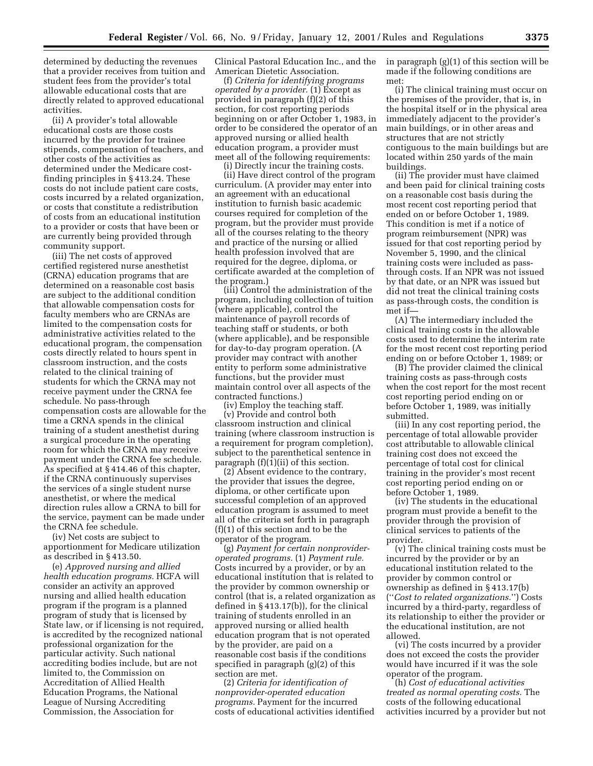determined by deducting the revenues that a provider receives from tuition and student fees from the provider's total allowable educational costs that are directly related to approved educational activities.

(ii) A provider's total allowable educational costs are those costs incurred by the provider for trainee stipends, compensation of teachers, and other costs of the activities as determined under the Medicare costfinding principles in § 413.24. These costs do not include patient care costs, costs incurred by a related organization, or costs that constitute a redistribution of costs from an educational institution to a provider or costs that have been or are currently being provided through community support.

(iii) The net costs of approved certified registered nurse anesthetist (CRNA) education programs that are determined on a reasonable cost basis are subject to the additional condition that allowable compensation costs for faculty members who are CRNAs are limited to the compensation costs for administrative activities related to the educational program, the compensation costs directly related to hours spent in classroom instruction, and the costs related to the clinical training of students for which the CRNA may not receive payment under the CRNA fee schedule. No pass-through compensation costs are allowable for the time a CRNA spends in the clinical training of a student anesthetist during a surgical procedure in the operating room for which the CRNA may receive payment under the CRNA fee schedule. As specified at § 414.46 of this chapter, if the CRNA continuously supervises the services of a single student nurse anesthetist, or where the medical direction rules allow a CRNA to bill for the service, payment can be made under the CRNA fee schedule.

(iv) Net costs are subject to apportionment for Medicare utilization as described in § 413.50.

(e) *Approved nursing and allied health education programs.* HCFA will consider an activity an approved nursing and allied health education program if the program is a planned program of study that is licensed by State law, or if licensing is not required, is accredited by the recognized national professional organization for the particular activity. Such national accrediting bodies include, but are not limited to, the Commission on Accreditation of Allied Health Education Programs, the National League of Nursing Accrediting Commission, the Association for

Clinical Pastoral Education Inc., and the American Dietetic Association.

(f) *Criteria for identifying programs operated by a provider.* (1) Except as provided in paragraph (f)(2) of this section, for cost reporting periods beginning on or after October 1, 1983, in order to be considered the operator of an approved nursing or allied health education program, a provider must meet all of the following requirements:

(i) Directly incur the training costs. (ii) Have direct control of the program curriculum. (A provider may enter into an agreement with an educational institution to furnish basic academic courses required for completion of the program, but the provider must provide all of the courses relating to the theory and practice of the nursing or allied health profession involved that are required for the degree, diploma, or certificate awarded at the completion of the program.)

(iii) Control the administration of the program, including collection of tuition (where applicable), control the maintenance of payroll records of teaching staff or students, or both (where applicable), and be responsible for day-to-day program operation. (A provider may contract with another entity to perform some administrative functions, but the provider must maintain control over all aspects of the contracted functions.)

(iv) Employ the teaching staff. (v) Provide and control both classroom instruction and clinical training (where classroom instruction is a requirement for program completion), subject to the parenthetical sentence in paragraph  $(f)(1)(ii)$  of this section.

(2) Absent evidence to the contrary, the provider that issues the degree, diploma, or other certificate upon successful completion of an approved education program is assumed to meet all of the criteria set forth in paragraph (f)(1) of this section and to be the operator of the program.

(g) *Payment for certain nonprovideroperated programs.* (1) *Payment rule.* Costs incurred by a provider, or by an educational institution that is related to the provider by common ownership or control (that is, a related organization as defined in § 413.17(b)), for the clinical training of students enrolled in an approved nursing or allied health education program that is not operated by the provider, are paid on a reasonable cost basis if the conditions specified in paragraph (g)(2) of this section are met.

(2) *Criteria for identification of nonprovider-operated education programs.* Payment for the incurred costs of educational activities identified in paragraph (g)(1) of this section will be made if the following conditions are met:

(i) The clinical training must occur on the premises of the provider, that is, in the hospital itself or in the physical area immediately adjacent to the provider's main buildings, or in other areas and structures that are not strictly contiguous to the main buildings but are located within 250 yards of the main buildings.

(ii) The provider must have claimed and been paid for clinical training costs on a reasonable cost basis during the most recent cost reporting period that ended on or before October 1, 1989. This condition is met if a notice of program reimbursement (NPR) was issued for that cost reporting period by November 5, 1990, and the clinical training costs were included as passthrough costs. If an NPR was not issued by that date, or an NPR was issued but did not treat the clinical training costs as pass-through costs, the condition is met if—

(A) The intermediary included the clinical training costs in the allowable costs used to determine the interim rate for the most recent cost reporting period ending on or before October 1, 1989; or

(B) The provider claimed the clinical training costs as pass-through costs when the cost report for the most recent cost reporting period ending on or before October 1, 1989, was initially submitted.

(iii) In any cost reporting period, the percentage of total allowable provider cost attributable to allowable clinical training cost does not exceed the percentage of total cost for clinical training in the provider's most recent cost reporting period ending on or before October 1, 1989.

(iv) The students in the educational program must provide a benefit to the provider through the provision of clinical services to patients of the provider.

(v) The clinical training costs must be incurred by the provider or by an educational institution related to the provider by common control or ownership as defined in § 413.17(b) (''*Cost to related organizations.*'') Costs incurred by a third-party, regardless of its relationship to either the provider or the educational institution, are not allowed.

(vi) The costs incurred by a provider does not exceed the costs the provider would have incurred if it was the sole operator of the program.

(h) *Cost of educational activities treated as normal operating costs.* The costs of the following educational activities incurred by a provider but not